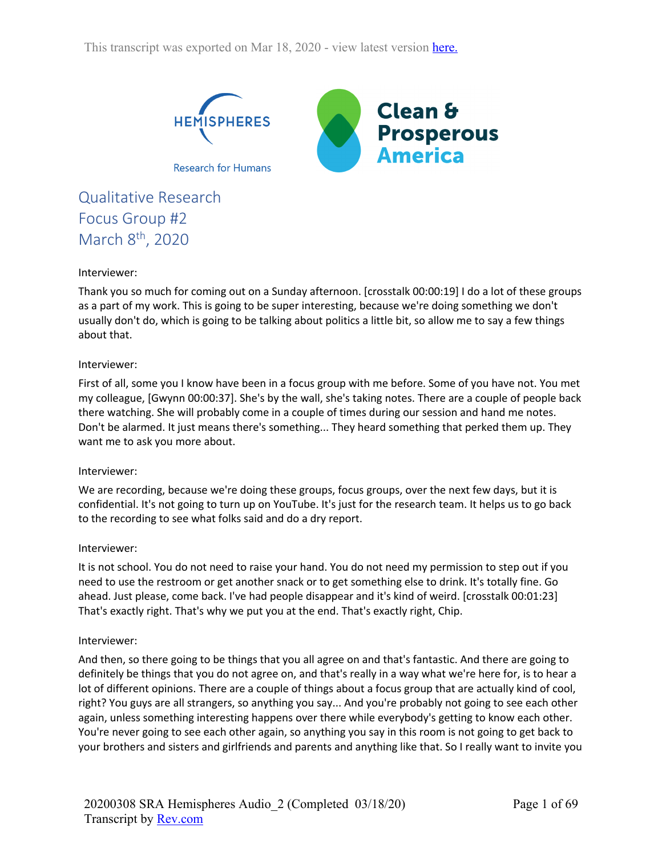

Qualitative Research Focus Group #2 March 8<sup>th</sup>, 2020

### Interviewer:

Thank you so much for coming out on a Sunday afternoon. [crosstalk 00:00:19] I do a lot of these groups as a part of my work. This is going to be super interesting, because we're doing something we don't usually don't do, which is going to be talking about politics a little bit, so allow me to say a few things about that.

#### Interviewer:

First of all, some you I know have been in a focus group with me before. Some of you have not. You met my colleague, [Gwynn 00:00:37]. She's by the wall, she's taking notes. There are a couple of people back there watching. She will probably come in a couple of times during our session and hand me notes. Don't be alarmed. It just means there's something... They heard something that perked them up. They want me to ask you more about.

#### Interviewer:

We are recording, because we're doing these groups, focus groups, over the next few days, but it is confidential. It's not going to turn up on YouTube. It's just for the research team. It helps us to go back to the recording to see what folks said and do a dry report.

#### Interviewer:

It is not school. You do not need to raise your hand. You do not need my permission to step out if you need to use the restroom or get another snack or to get something else to drink. It's totally fine. Go ahead. Just please, come back. I've had people disappear and it's kind of weird. [crosstalk 00:01:23] That's exactly right. That's why we put you at the end. That's exactly right, Chip.

#### Interviewer:

And then, so there going to be things that you all agree on and that's fantastic. And there are going to definitely be things that you do not agree on, and that's really in a way what we're here for, is to hear a lot of different opinions. There are a couple of things about a focus group that are actually kind of cool, right? You guys are all strangers, so anything you say... And you're probably not going to see each other again, unless something interesting happens over there while everybody's getting to know each other. You're never going to see each other again, so anything you say in this room is not going to get back to your brothers and sisters and girlfriends and parents and anything like that. So I really want to invite you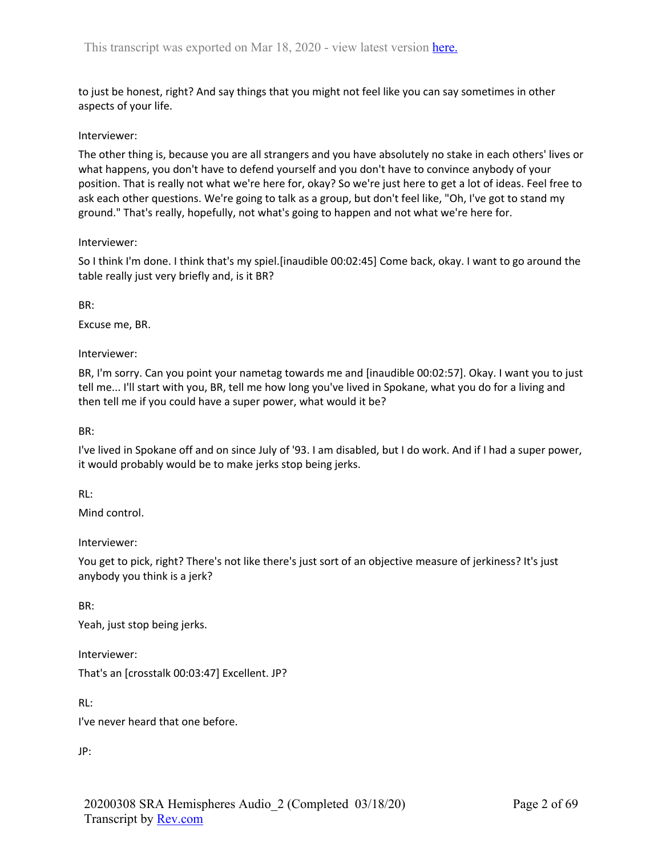to just be honest, right? And say things that you might not feel like you can say sometimes in other aspects of your life.

### Interviewer:

The other thing is, because you are all strangers and you have absolutely no stake in each others' lives or what happens, you don't have to defend yourself and you don't have to convince anybody of your position. That is really not what we're here for, okay? So we're just here to get a lot of ideas. Feel free to ask each other questions. We're going to talk as a group, but don't feel like, "Oh, I've got to stand my ground." That's really, hopefully, not what's going to happen and not what we're here for.

### Interviewer:

So I think I'm done. I think that's my spiel.[inaudible 00:02:45] Come back, okay. I want to go around the table really just very briefly and, is it BR?

BR:

Excuse me, BR.

Interviewer:

BR, I'm sorry. Can you point your nametag towards me and [inaudible 00:02:57]. Okay. I want you to just tell me... I'll start with you, BR, tell me how long you've lived in Spokane, what you do for a living and then tell me if you could have a super power, what would it be?

BR:

I've lived in Spokane off and on since July of '93. I am disabled, but I do work. And if I had a super power, it would probably would be to make jerks stop being jerks.

RL:

Mind control.

Interviewer:

You get to pick, right? There's not like there's just sort of an objective measure of jerkiness? It's just anybody you think is a jerk?

BR:

Yeah, just stop being jerks.

Interviewer:

That's an [crosstalk 00:03:47] Excellent. JP?

RL:

I've never heard that one before.

JP: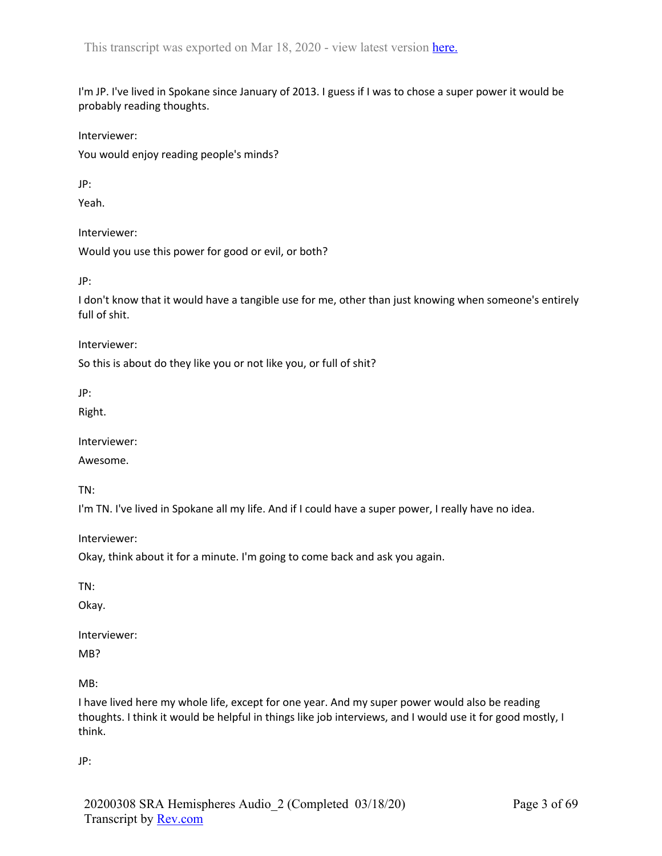I'm JP. I've lived in Spokane since January of 2013. I guess if I was to chose a super power it would be probably reading thoughts.

Interviewer:

You would enjoy reading people's minds?

JP:

Yeah.

Interviewer:

Would you use this power for good or evil, or both?

JP:

I don't know that it would have a tangible use for me, other than just knowing when someone's entirely full of shit.

Interviewer:

So this is about do they like you or not like you, or full of shit?

JP:

Right.

Interviewer:

Awesome.

TN:

I'm TN. I've lived in Spokane all my life. And if I could have a super power, I really have no idea.

Interviewer:

Okay, think about it for a minute. I'm going to come back and ask you again.

TN:

Okay.

Interviewer:

MB?

MB:

I have lived here my whole life, except for one year. And my super power would also be reading thoughts. I think it would be helpful in things like job interviews, and I would use it for good mostly, I think.

JP: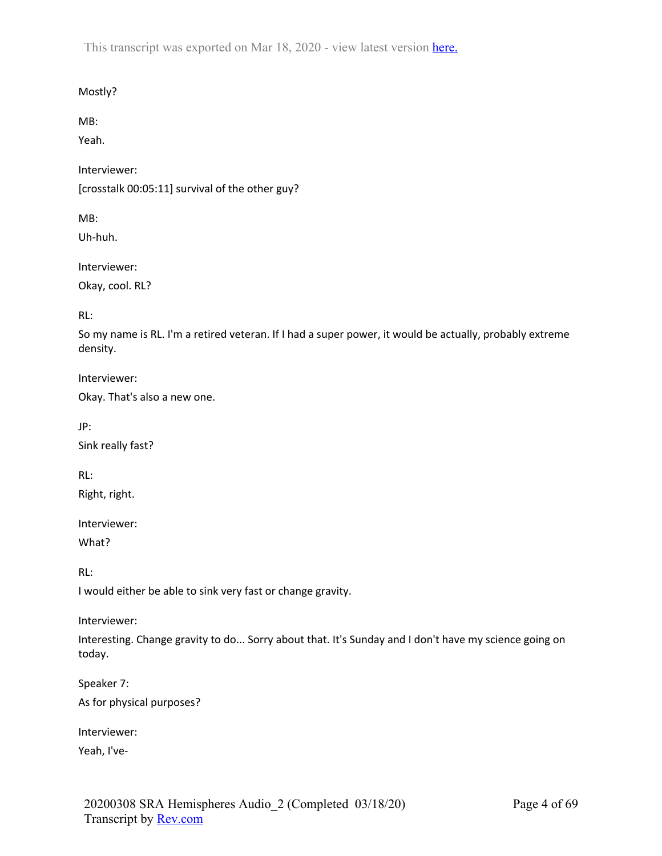Mostly?

MB:

Yeah.

Interviewer:

[crosstalk 00:05:11] survival of the other guy?

MB:

Uh-huh.

Interviewer:

Okay, cool. RL?

RL:

So my name is RL. I'm a retired veteran. If I had a super power, it would be actually, probably extreme density.

Interviewer:

Okay. That's also a new one.

JP:

Sink really fast?

RL:

Right, right.

Interviewer: What?

RL:

I would either be able to sink very fast or change gravity.

Interviewer:

Interesting. Change gravity to do... Sorry about that. It's Sunday and I don't have my science going on today.

Speaker 7: As for physical purposes?

Interviewer:

Yeah, I've-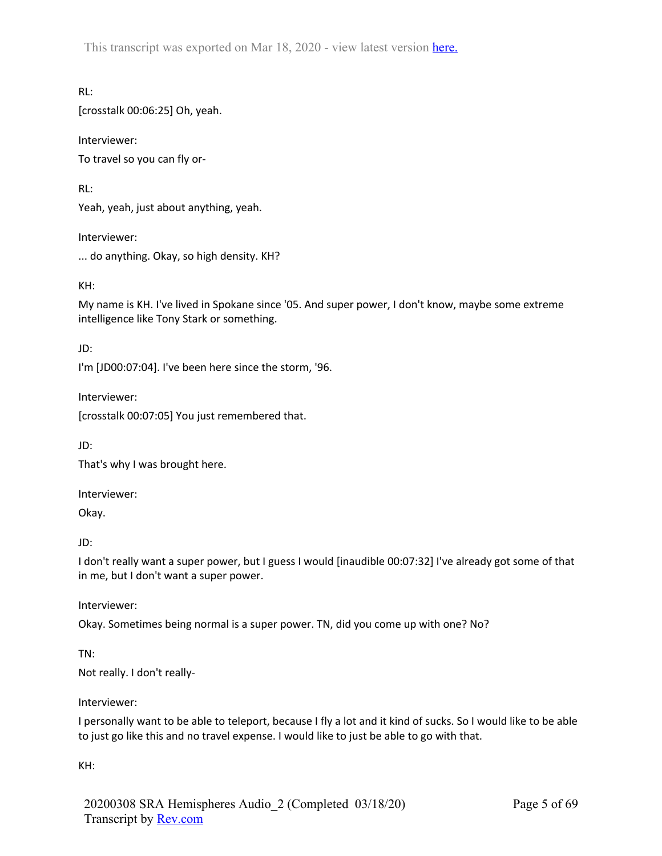RL: [crosstalk 00:06:25] Oh, yeah.

Interviewer: To travel so you can fly or-

RL:

Yeah, yeah, just about anything, yeah.

Interviewer: ... do anything. Okay, so high density. KH?

KH:

My name is KH. I've lived in Spokane since '05. And super power, I don't know, maybe some extreme intelligence like Tony Stark or something.

JD:

I'm [JD00:07:04]. I've been here since the storm, '96.

Interviewer:

[crosstalk 00:07:05] You just remembered that.

JD:

That's why I was brought here.

Interviewer:

Okay.

JD:

I don't really want a super power, but I guess I would [inaudible 00:07:32] I've already got some of that in me, but I don't want a super power.

Interviewer:

Okay. Sometimes being normal is a super power. TN, did you come up with one? No?

TN:

Not really. I don't really-

Interviewer:

I personally want to be able to teleport, because I fly a lot and it kind of sucks. So I would like to be able to just go like this and no travel expense. I would like to just be able to go with that.

KH: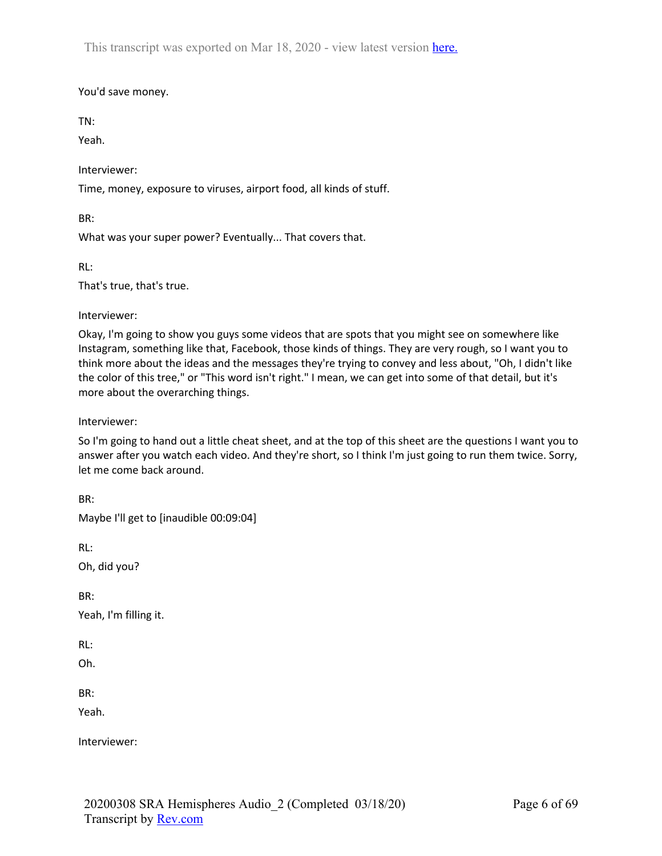## You'd save money.

TN:

Yeah.

Interviewer:

Time, money, exposure to viruses, airport food, all kinds of stuff.

BR:

What was your super power? Eventually... That covers that.

RL:

That's true, that's true.

Interviewer:

Okay, I'm going to show you guys some videos that are spots that you might see on somewhere like Instagram, something like that, Facebook, those kinds of things. They are very rough, so I want you to think more about the ideas and the messages they're trying to convey and less about, "Oh, I didn't like the color of this tree," or "This word isn't right." I mean, we can get into some of that detail, but it's more about the overarching things.

Interviewer:

So I'm going to hand out a little cheat sheet, and at the top of this sheet are the questions I want you to answer after you watch each video. And they're short, so I think I'm just going to run them twice. Sorry, let me come back around.

BR: Maybe I'll get to [inaudible 00:09:04] RL: Oh, did you? BR: Yeah, I'm filling it. RL: Oh. BR: Yeah.

Interviewer: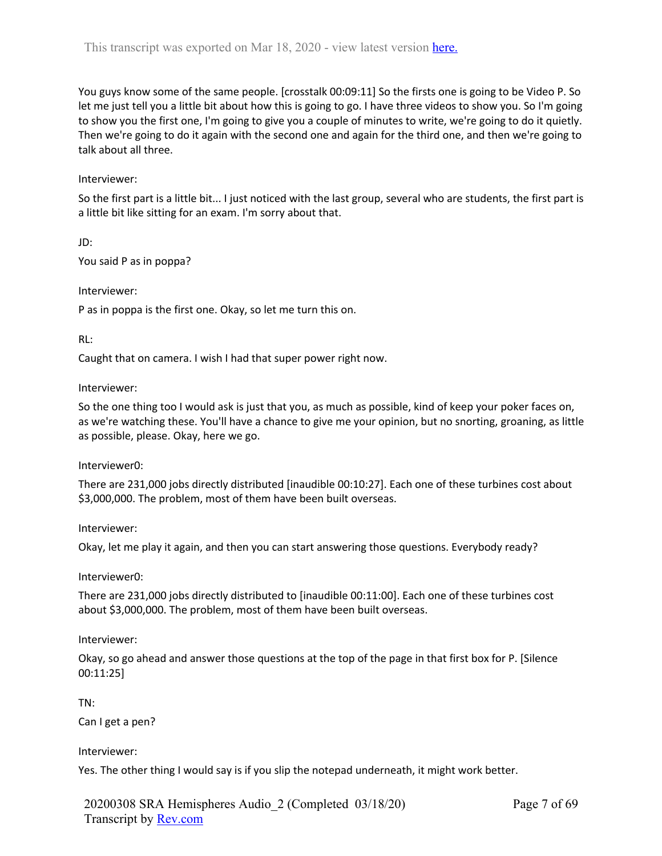You guys know some of the same people. [crosstalk 00:09:11] So the firsts one is going to be Video P. So let me just tell you a little bit about how this is going to go. I have three videos to show you. So I'm going to show you the first one, I'm going to give you a couple of minutes to write, we're going to do it quietly. Then we're going to do it again with the second one and again for the third one, and then we're going to talk about all three.

### Interviewer:

So the first part is a little bit... I just noticed with the last group, several who are students, the first part is a little bit like sitting for an exam. I'm sorry about that.

JD:

You said P as in poppa?

Interviewer:

P as in poppa is the first one. Okay, so let me turn this on.

RL:

Caught that on camera. I wish I had that super power right now.

#### Interviewer:

So the one thing too I would ask is just that you, as much as possible, kind of keep your poker faces on, as we're watching these. You'll have a chance to give me your opinion, but no snorting, groaning, as little as possible, please. Okay, here we go.

Interviewer0:

There are 231,000 jobs directly distributed [inaudible 00:10:27]. Each one of these turbines cost about \$3,000,000. The problem, most of them have been built overseas.

Interviewer:

Okay, let me play it again, and then you can start answering those questions. Everybody ready?

Interviewer0:

There are 231,000 jobs directly distributed to [inaudible 00:11:00]. Each one of these turbines cost about \$3,000,000. The problem, most of them have been built overseas.

Interviewer:

Okay, so go ahead and answer those questions at the top of the page in that first box for P. [Silence 00:11:25]

TN:

Can I get a pen?

#### Interviewer:

Yes. The other thing I would say is if you slip the notepad underneath, it might work better.

20200308 SRA Hemispheres Audio\_2 (Completed 03/18/20) Transcript by Rev.com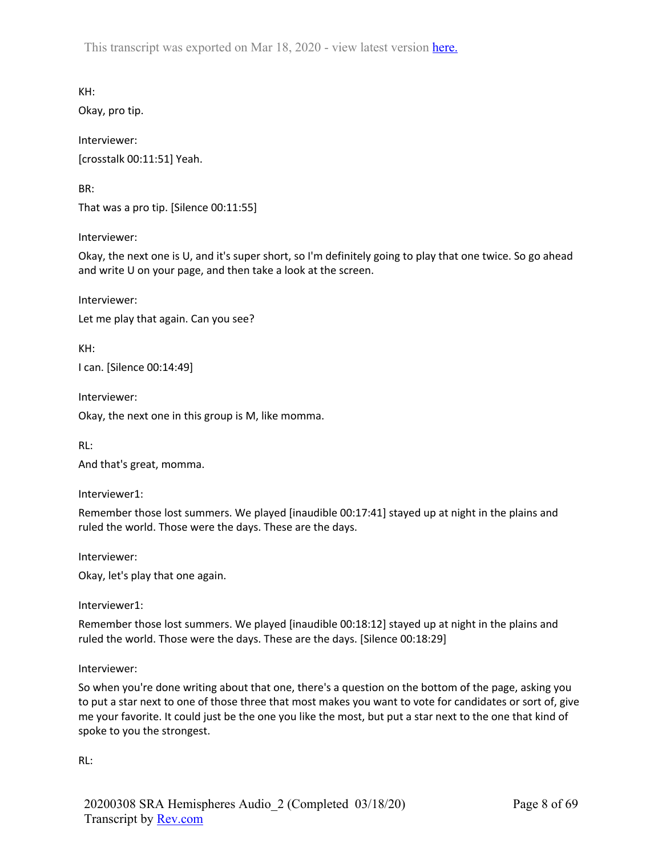KH:

Okay, pro tip.

Interviewer: [crosstalk 00:11:51] Yeah.

BR:

That was a pro tip. [Silence 00:11:55]

Interviewer:

Okay, the next one is U, and it's super short, so I'm definitely going to play that one twice. So go ahead and write U on your page, and then take a look at the screen.

Interviewer: Let me play that again. Can you see?

KH: I can. [Silence 00:14:49]

Interviewer:

Okay, the next one in this group is M, like momma.

RL:

And that's great, momma.

Interviewer1:

Remember those lost summers. We played [inaudible 00:17:41] stayed up at night in the plains and ruled the world. Those were the days. These are the days.

Interviewer:

Okay, let's play that one again.

Interviewer1:

Remember those lost summers. We played [inaudible 00:18:12] stayed up at night in the plains and ruled the world. Those were the days. These are the days. [Silence 00:18:29]

Interviewer:

So when you're done writing about that one, there's a question on the bottom of the page, asking you to put a star next to one of those three that most makes you want to vote for candidates or sort of, give me your favorite. It could just be the one you like the most, but put a star next to the one that kind of spoke to you the strongest.

RL: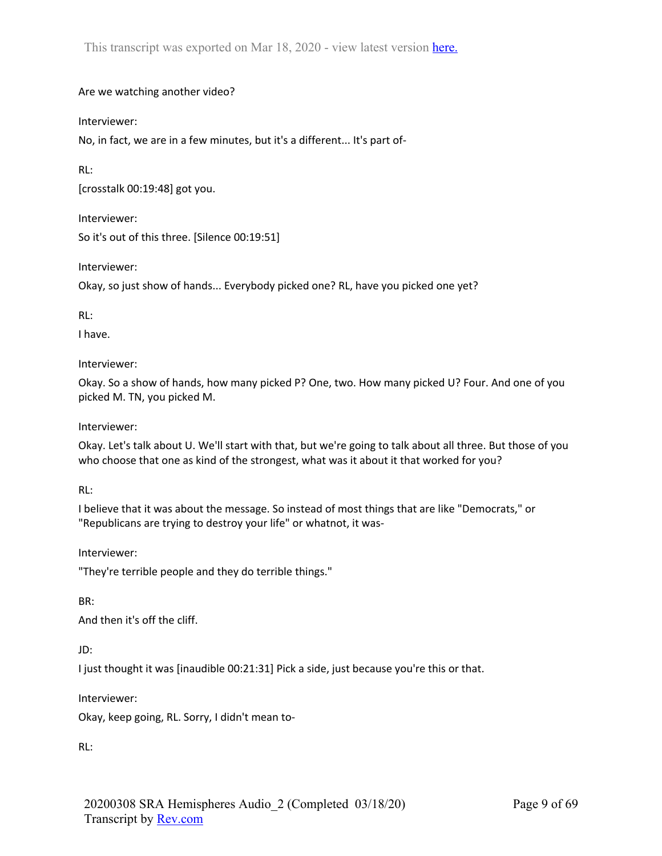# Are we watching another video?

Interviewer:

No, in fact, we are in a few minutes, but it's a different... It's part of-

RL:

[crosstalk 00:19:48] got you.

Interviewer: So it's out of this three. [Silence 00:19:51]

Interviewer:

Okay, so just show of hands... Everybody picked one? RL, have you picked one yet?

RL:

I have.

Interviewer:

Okay. So a show of hands, how many picked P? One, two. How many picked U? Four. And one of you picked M. TN, you picked M.

Interviewer:

Okay. Let's talk about U. We'll start with that, but we're going to talk about all three. But those of you who choose that one as kind of the strongest, what was it about it that worked for you?

RL:

I believe that it was about the message. So instead of most things that are like "Democrats," or "Republicans are trying to destroy your life" or whatnot, it was-

Interviewer:

"They're terrible people and they do terrible things."

BR:

And then it's off the cliff.

JD:

I just thought it was [inaudible 00:21:31] Pick a side, just because you're this or that.

Interviewer:

Okay, keep going, RL. Sorry, I didn't mean to-

RL: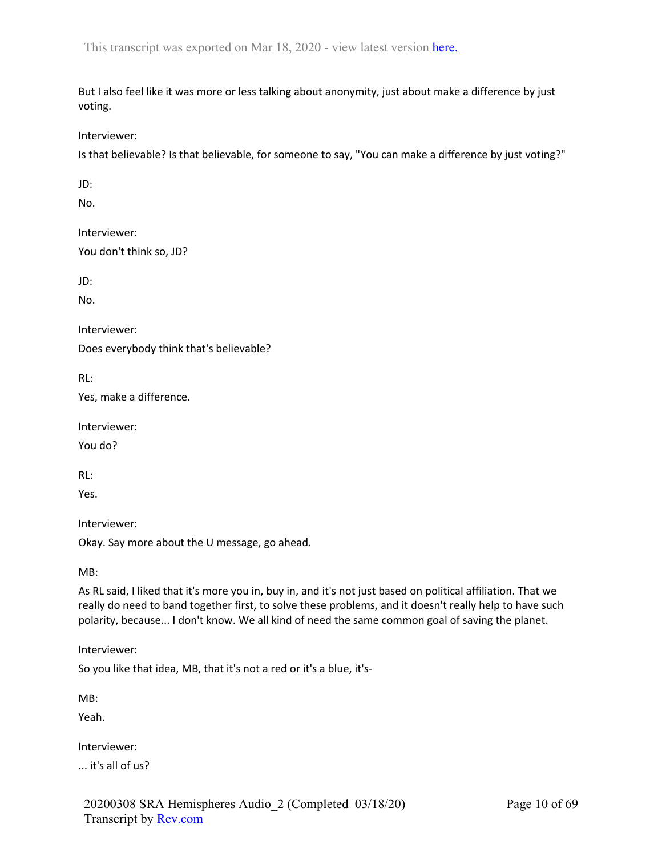But I also feel like it was more or less talking about anonymity, just about make a difference by just voting.

Interviewer:

Is that believable? Is that believable, for someone to say, "You can make a difference by just voting?"

JD:

No.

Interviewer: You don't think so, JD?

JD:

No.

Interviewer:

Does everybody think that's believable?

RL:

Yes, make a difference.

Interviewer:

You do?

RL:

Yes.

Interviewer:

Okay. Say more about the U message, go ahead.

MB:

As RL said, I liked that it's more you in, buy in, and it's not just based on political affiliation. That we really do need to band together first, to solve these problems, and it doesn't really help to have such polarity, because... I don't know. We all kind of need the same common goal of saving the planet.

Interviewer:

So you like that idea, MB, that it's not a red or it's a blue, it's-

MB:

Yeah.

Interviewer:

... it's all of us?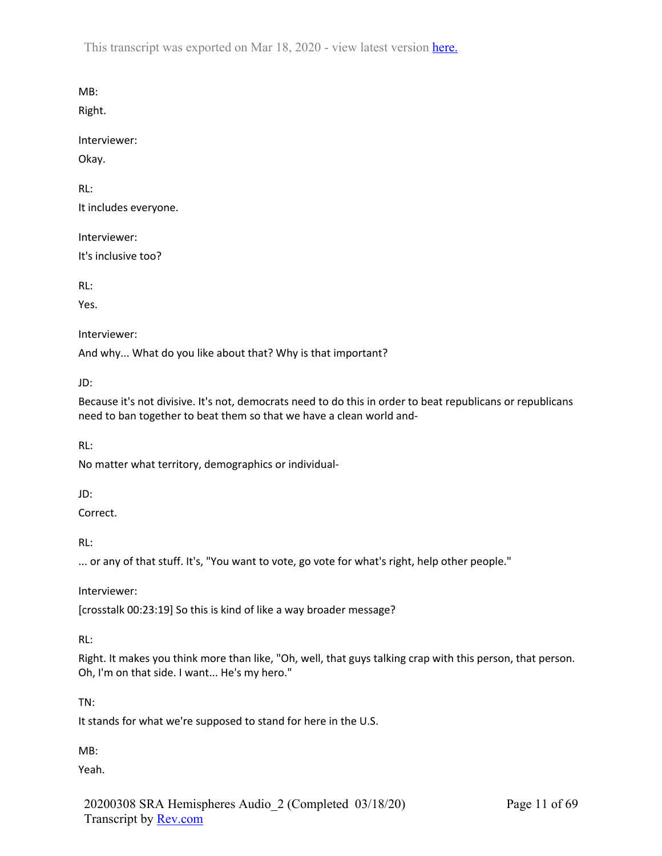MB:

Right.

Interviewer:

Okay.

RL:

It includes everyone.

Interviewer:

It's inclusive too?

RL:

Yes.

Interviewer:

And why... What do you like about that? Why is that important?

JD:

Because it's not divisive. It's not, democrats need to do this in order to beat republicans or republicans need to ban together to beat them so that we have a clean world and-

RL:

No matter what territory, demographics or individual-

JD:

Correct.

RL:

... or any of that stuff. It's, "You want to vote, go vote for what's right, help other people."

Interviewer:

[crosstalk 00:23:19] So this is kind of like a way broader message?

RL:

Right. It makes you think more than like, "Oh, well, that guys talking crap with this person, that person. Oh, I'm on that side. I want... He's my hero."

TN:

It stands for what we're supposed to stand for here in the U.S.

MB:

Yeah.

20200308 SRA Hemispheres Audio\_2 (Completed 03/18/20) Transcript by Rev.com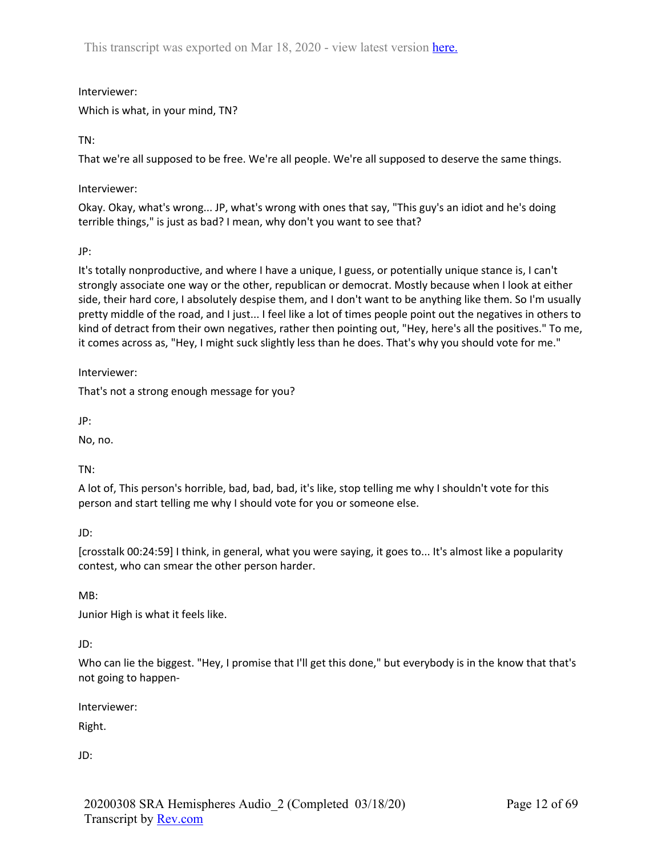Interviewer: Which is what, in your mind, TN?

TN:

That we're all supposed to be free. We're all people. We're all supposed to deserve the same things.

Interviewer:

Okay. Okay, what's wrong... JP, what's wrong with ones that say, "This guy's an idiot and he's doing terrible things," is just as bad? I mean, why don't you want to see that?

JP:

It's totally nonproductive, and where I have a unique, I guess, or potentially unique stance is, I can't strongly associate one way or the other, republican or democrat. Mostly because when I look at either side, their hard core, I absolutely despise them, and I don't want to be anything like them. So I'm usually pretty middle of the road, and I just... I feel like a lot of times people point out the negatives in others to kind of detract from their own negatives, rather then pointing out, "Hey, here's all the positives." To me, it comes across as, "Hey, I might suck slightly less than he does. That's why you should vote for me."

Interviewer:

That's not a strong enough message for you?

JP:

No, no.

TN:

A lot of, This person's horrible, bad, bad, bad, it's like, stop telling me why I shouldn't vote for this person and start telling me why I should vote for you or someone else.

JD:

[crosstalk 00:24:59] I think, in general, what you were saying, it goes to... It's almost like a popularity contest, who can smear the other person harder.

MB:

Junior High is what it feels like.

JD:

Who can lie the biggest. "Hey, I promise that I'll get this done," but everybody is in the know that that's not going to happen-

Interviewer:

Right.

JD: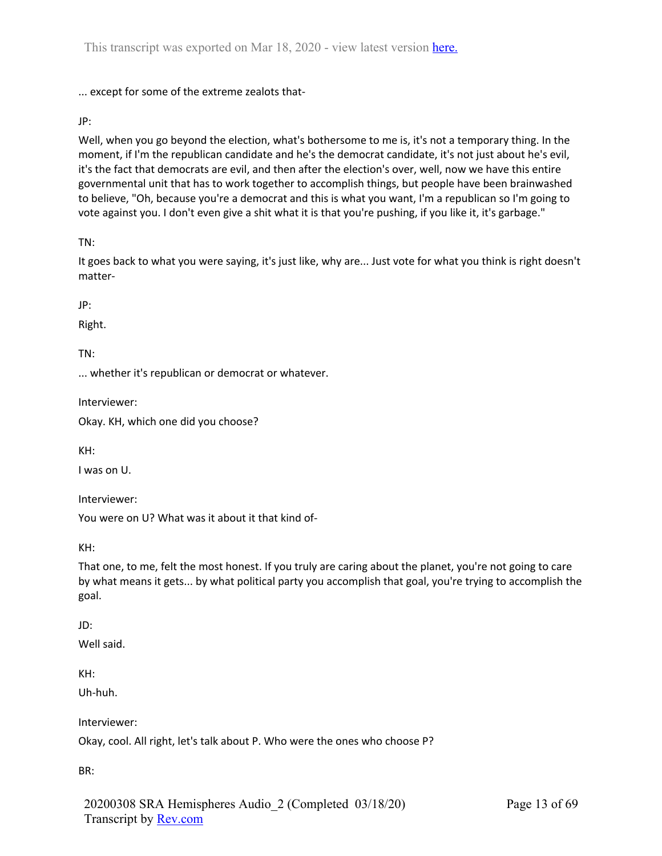... except for some of the extreme zealots that-

JP:

Well, when you go beyond the election, what's bothersome to me is, it's not a temporary thing. In the moment, if I'm the republican candidate and he's the democrat candidate, it's not just about he's evil, it's the fact that democrats are evil, and then after the election's over, well, now we have this entire governmental unit that has to work together to accomplish things, but people have been brainwashed to believe, "Oh, because you're a democrat and this is what you want, I'm a republican so I'm going to vote against you. I don't even give a shit what it is that you're pushing, if you like it, it's garbage."

TN:

It goes back to what you were saying, it's just like, why are... Just vote for what you think is right doesn't matter-

JP:

Right.

TN:

... whether it's republican or democrat or whatever.

Interviewer:

Okay. KH, which one did you choose?

KH:

I was on U.

Interviewer:

You were on U? What was it about it that kind of-

KH:

That one, to me, felt the most honest. If you truly are caring about the planet, you're not going to care by what means it gets... by what political party you accomplish that goal, you're trying to accomplish the goal.

JD:

Well said.

KH:

Uh-huh.

Interviewer:

Okay, cool. All right, let's talk about P. Who were the ones who choose P?

BR:

20200308 SRA Hemispheres Audio\_2 (Completed 03/18/20) Transcript by Rev.com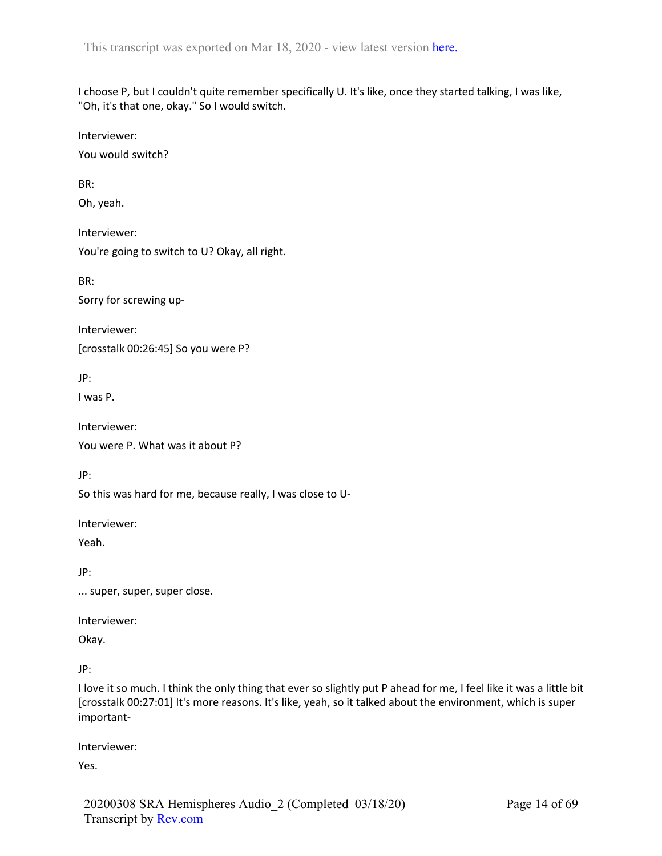I choose P, but I couldn't quite remember specifically U. It's like, once they started talking, I was like, "Oh, it's that one, okay." So I would switch.

Interviewer:

You would switch?

BR:

Oh, yeah.

Interviewer: You're going to switch to U? Okay, all right.

BR:

Sorry for screwing up-

Interviewer: [crosstalk 00:26:45] So you were P?

JP:

I was P.

Interviewer: You were P. What was it about P?

JP:

So this was hard for me, because really, I was close to U-

Interviewer:

Yeah.

JP:

... super, super, super close.

Interviewer:

Okay.

JP:

I love it so much. I think the only thing that ever so slightly put P ahead for me, I feel like it was a little bit [crosstalk 00:27:01] It's more reasons. It's like, yeah, so it talked about the environment, which is super important-

Interviewer:

Yes.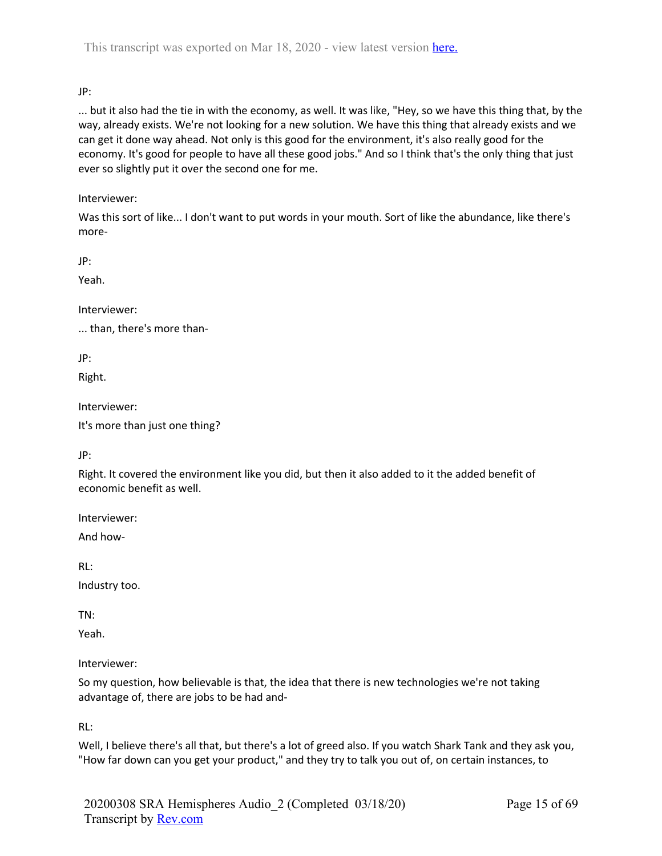JP:

... but it also had the tie in with the economy, as well. It was like, "Hey, so we have this thing that, by the way, already exists. We're not looking for a new solution. We have this thing that already exists and we can get it done way ahead. Not only is this good for the environment, it's also really good for the economy. It's good for people to have all these good jobs." And so I think that's the only thing that just ever so slightly put it over the second one for me.

# Interviewer:

Was this sort of like... I don't want to put words in your mouth. Sort of like the abundance, like there's more-

JP:

Yeah.

Interviewer:

... than, there's more than-

JP:

Right.

Interviewer:

It's more than just one thing?

JP:

Right. It covered the environment like you did, but then it also added to it the added benefit of economic benefit as well.

Interviewer:

And how-

RL:

Industry too.

TN:

Yeah.

Interviewer:

So my question, how believable is that, the idea that there is new technologies we're not taking advantage of, there are jobs to be had and-

RL:

Well, I believe there's all that, but there's a lot of greed also. If you watch Shark Tank and they ask you, "How far down can you get your product," and they try to talk you out of, on certain instances, to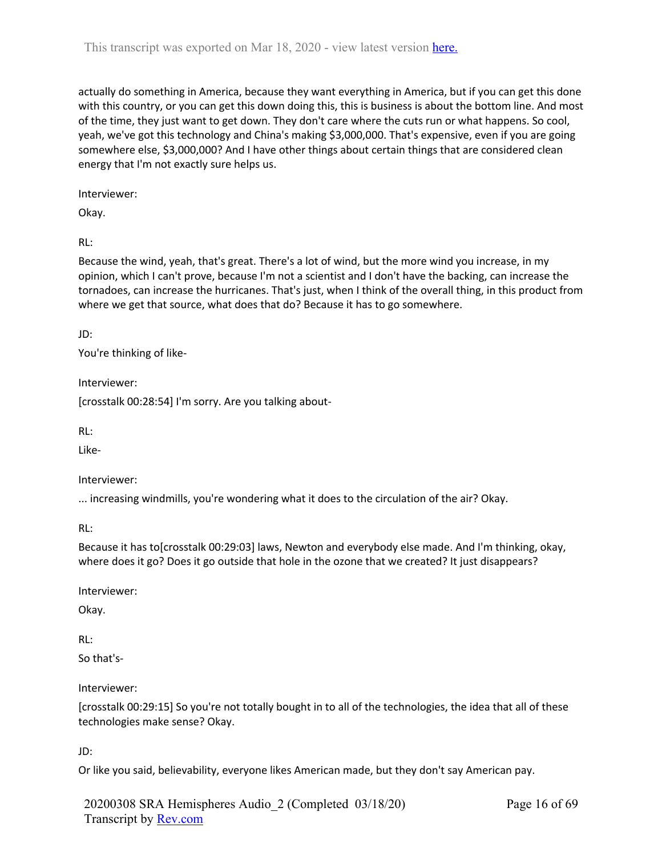actually do something in America, because they want everything in America, but if you can get this done with this country, or you can get this down doing this, this is business is about the bottom line. And most of the time, they just want to get down. They don't care where the cuts run or what happens. So cool, yeah, we've got this technology and China's making \$3,000,000. That's expensive, even if you are going somewhere else, \$3,000,000? And I have other things about certain things that are considered clean energy that I'm not exactly sure helps us.

Interviewer:

Okay.

RL:

Because the wind, yeah, that's great. There's a lot of wind, but the more wind you increase, in my opinion, which I can't prove, because I'm not a scientist and I don't have the backing, can increase the tornadoes, can increase the hurricanes. That's just, when I think of the overall thing, in this product from where we get that source, what does that do? Because it has to go somewhere.

JD:

You're thinking of like-

Interviewer:

[crosstalk 00:28:54] I'm sorry. Are you talking about-

RL:

Like-

Interviewer:

... increasing windmills, you're wondering what it does to the circulation of the air? Okay.

RL:

Because it has to[crosstalk 00:29:03] laws, Newton and everybody else made. And I'm thinking, okay, where does it go? Does it go outside that hole in the ozone that we created? It just disappears?

Interviewer:

Okay.

RL:

So that's-

Interviewer:

[crosstalk 00:29:15] So you're not totally bought in to all of the technologies, the idea that all of these technologies make sense? Okay.

JD:

Or like you said, believability, everyone likes American made, but they don't say American pay.

20200308 SRA Hemispheres Audio\_2 (Completed 03/18/20) Transcript by Rev.com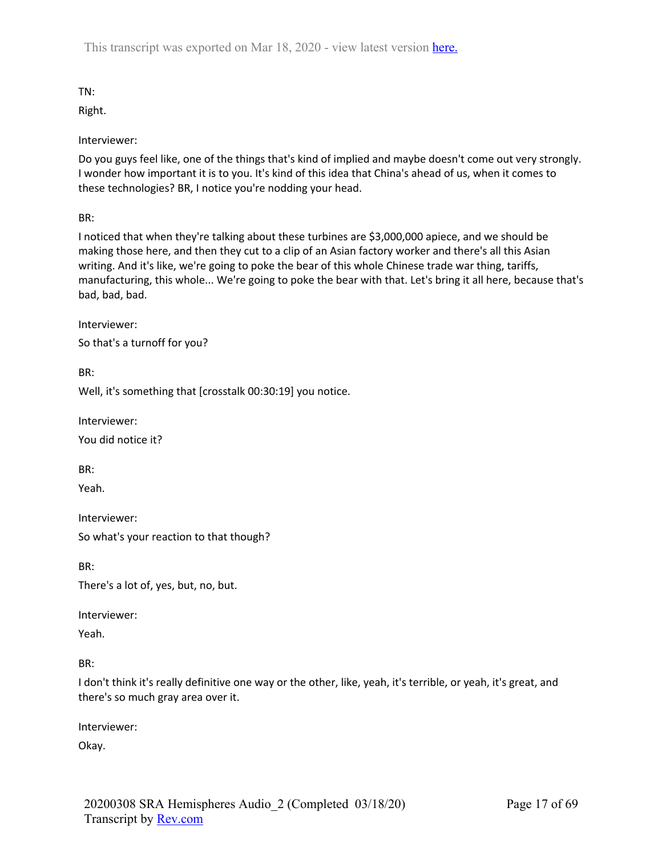TN:

Right.

Interviewer:

Do you guys feel like, one of the things that's kind of implied and maybe doesn't come out very strongly. I wonder how important it is to you. It's kind of this idea that China's ahead of us, when it comes to these technologies? BR, I notice you're nodding your head.

BR:

I noticed that when they're talking about these turbines are \$3,000,000 apiece, and we should be making those here, and then they cut to a clip of an Asian factory worker and there's all this Asian writing. And it's like, we're going to poke the bear of this whole Chinese trade war thing, tariffs, manufacturing, this whole... We're going to poke the bear with that. Let's bring it all here, because that's bad, bad, bad.

Interviewer:

So that's a turnoff for you?

BR:

Well, it's something that [crosstalk 00:30:19] you notice.

Interviewer:

You did notice it?

BR:

Yeah.

Interviewer: So what's your reaction to that though?

BR:

There's a lot of, yes, but, no, but.

Interviewer:

Yeah.

BR:

I don't think it's really definitive one way or the other, like, yeah, it's terrible, or yeah, it's great, and there's so much gray area over it.

Interviewer:

Okay.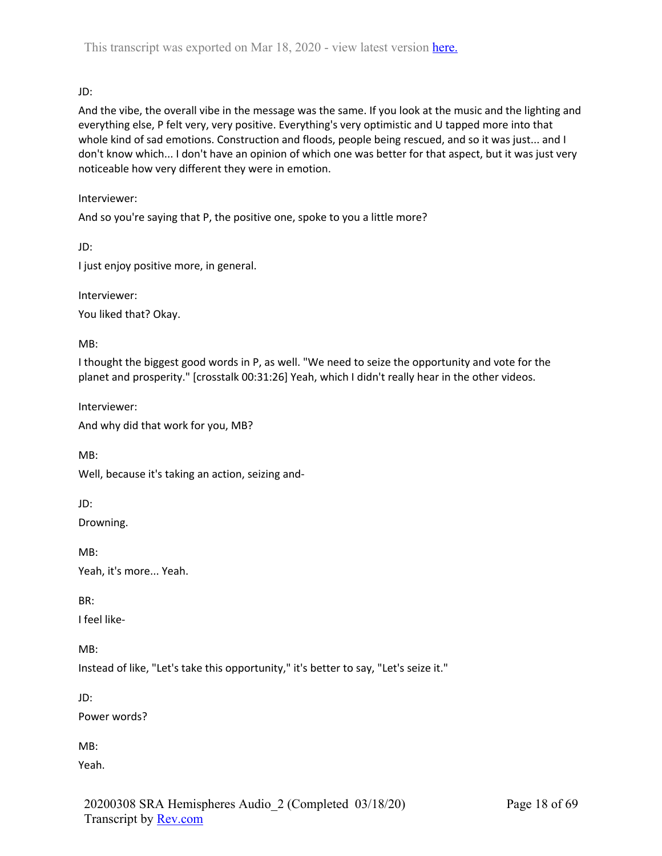# JD:

And the vibe, the overall vibe in the message was the same. If you look at the music and the lighting and everything else, P felt very, very positive. Everything's very optimistic and U tapped more into that whole kind of sad emotions. Construction and floods, people being rescued, and so it was just... and I don't know which... I don't have an opinion of which one was better for that aspect, but it was just very noticeable how very different they were in emotion.

### Interviewer:

And so you're saying that P, the positive one, spoke to you a little more?

JD:

I just enjoy positive more, in general.

Interviewer:

You liked that? Okay.

MB:

I thought the biggest good words in P, as well. "We need to seize the opportunity and vote for the planet and prosperity." [crosstalk 00:31:26] Yeah, which I didn't really hear in the other videos.

Interviewer:

And why did that work for you, MB?

MB:

Well, because it's taking an action, seizing and-

JD:

Drowning.

MB: Yeah, it's more... Yeah.

BR:

I feel like-

MB:

Instead of like, "Let's take this opportunity," it's better to say, "Let's seize it."

JD:

Power words?

MB:

Yeah.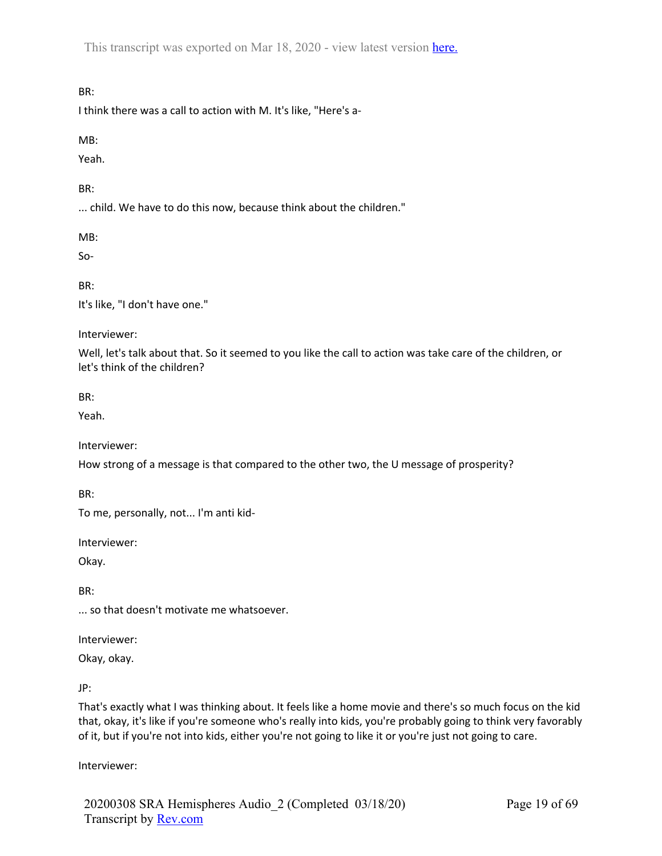# BR:

I think there was a call to action with M. It's like, "Here's a-

### MB:

Yeah.

### BR:

... child. We have to do this now, because think about the children."

MB:

So-

BR:

It's like, "I don't have one."

### Interviewer:

Well, let's talk about that. So it seemed to you like the call to action was take care of the children, or let's think of the children?

BR:

Yeah.

Interviewer:

How strong of a message is that compared to the other two, the U message of prosperity?

BR:

To me, personally, not... I'm anti kid-

Interviewer:

Okay.

BR:

... so that doesn't motivate me whatsoever.

Interviewer:

Okay, okay.

JP:

That's exactly what I was thinking about. It feels like a home movie and there's so much focus on the kid that, okay, it's like if you're someone who's really into kids, you're probably going to think very favorably of it, but if you're not into kids, either you're not going to like it or you're just not going to care.

Interviewer: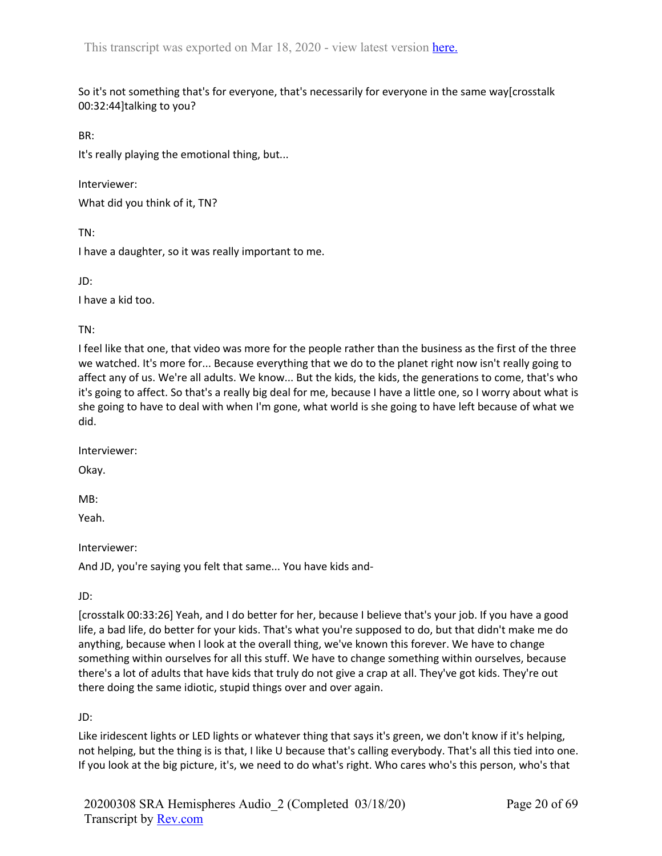So it's not something that's for everyone, that's necessarily for everyone in the same way[crosstalk 00:32:44]talking to you?

BR:

It's really playing the emotional thing, but...

Interviewer: What did you think of it, TN?

TN:

I have a daughter, so it was really important to me.

JD:

I have a kid too.

TN:

I feel like that one, that video was more for the people rather than the business as the first of the three we watched. It's more for... Because everything that we do to the planet right now isn't really going to affect any of us. We're all adults. We know... But the kids, the kids, the generations to come, that's who it's going to affect. So that's a really big deal for me, because I have a little one, so I worry about what is she going to have to deal with when I'm gone, what world is she going to have left because of what we did.

Interviewer:

Okay.

MB:

Yeah.

Interviewer:

And JD, you're saying you felt that same... You have kids and-

JD:

[crosstalk 00:33:26] Yeah, and I do better for her, because I believe that's your job. If you have a good life, a bad life, do better for your kids. That's what you're supposed to do, but that didn't make me do anything, because when I look at the overall thing, we've known this forever. We have to change something within ourselves for all this stuff. We have to change something within ourselves, because there's a lot of adults that have kids that truly do not give a crap at all. They've got kids. They're out there doing the same idiotic, stupid things over and over again.

JD:

Like iridescent lights or LED lights or whatever thing that says it's green, we don't know if it's helping, not helping, but the thing is is that, I like U because that's calling everybody. That's all this tied into one. If you look at the big picture, it's, we need to do what's right. Who cares who's this person, who's that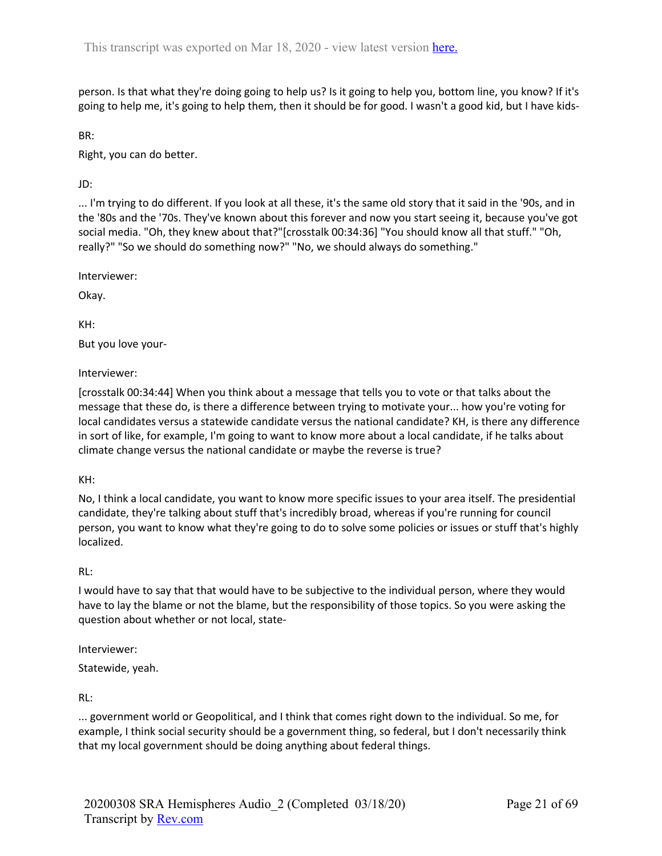person. Is that what they're doing going to help us? Is it going to help you, bottom line, you know? If it's going to help me, it's going to help them, then it should be for good. I wasn't a good kid, but I have kids-

BR:

Right, you can do better.

JD:

... I'm trying to do different. If you look at all these, it's the same old story that it said in the '90s, and in the '80s and the '70s. They've known about this forever and now you start seeing it, because you've got social media. "Oh, they knew about that?"[crosstalk 00:34:36] "You should know all that stuff." "Oh, really?" "So we should do something now?" "No, we should always do something."

Interviewer:

Okay.

KH:

But you love your-

Interviewer:

[crosstalk 00:34:44] When you think about a message that tells you to vote or that talks about the message that these do, is there a difference between trying to motivate your... how you're voting for local candidates versus a statewide candidate versus the national candidate? KH, is there any difference in sort of like, for example, I'm going to want to know more about a local candidate, if he talks about climate change versus the national candidate or maybe the reverse is true?

KH:

No, I think a local candidate, you want to know more specific issues to your area itself. The presidential candidate, they're talking about stuff that's incredibly broad, whereas if you're running for council person, you want to know what they're going to do to solve some policies or issues or stuff that's highly localized.

## RL:

I would have to say that that would have to be subjective to the individual person, where they would have to lay the blame or not the blame, but the responsibility of those topics. So you were asking the question about whether or not local, state-

Interviewer:

Statewide, yeah.

RL:

... government world or Geopolitical, and I think that comes right down to the individual. So me, for example, I think social security should be a government thing, so federal, but I don't necessarily think that my local government should be doing anything about federal things.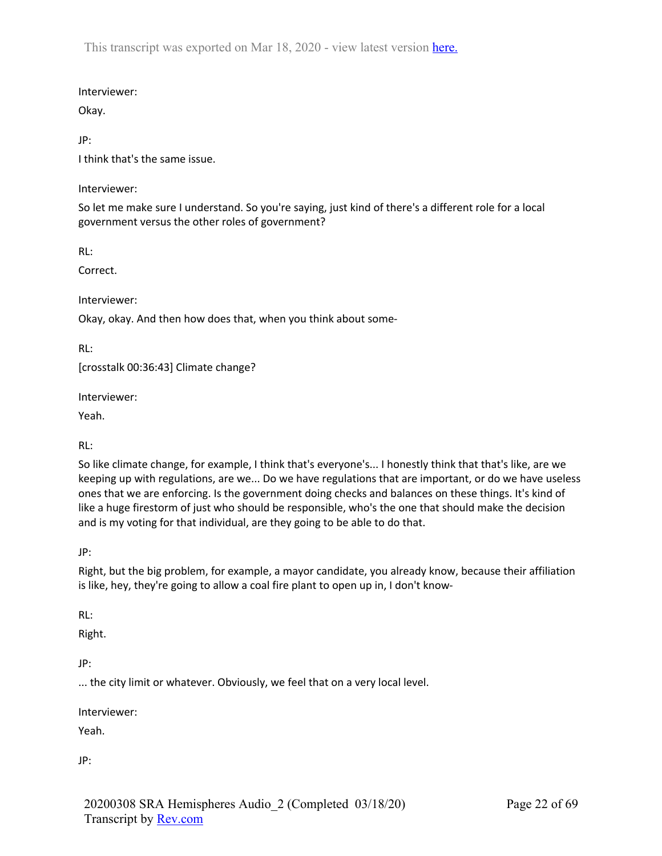Interviewer:

Okay.

JP:

I think that's the same issue.

Interviewer:

So let me make sure I understand. So you're saying, just kind of there's a different role for a local government versus the other roles of government?

RL:

Correct.

Interviewer:

Okay, okay. And then how does that, when you think about some-

RL:

[crosstalk 00:36:43] Climate change?

Interviewer:

Yeah.

RL:

So like climate change, for example, I think that's everyone's... I honestly think that that's like, are we keeping up with regulations, are we... Do we have regulations that are important, or do we have useless ones that we are enforcing. Is the government doing checks and balances on these things. It's kind of like a huge firestorm of just who should be responsible, who's the one that should make the decision and is my voting for that individual, are they going to be able to do that.

JP:

Right, but the big problem, for example, a mayor candidate, you already know, because their affiliation is like, hey, they're going to allow a coal fire plant to open up in, I don't know-

RL:

Right.

JP:

... the city limit or whatever. Obviously, we feel that on a very local level.

Interviewer:

Yeah.

JP: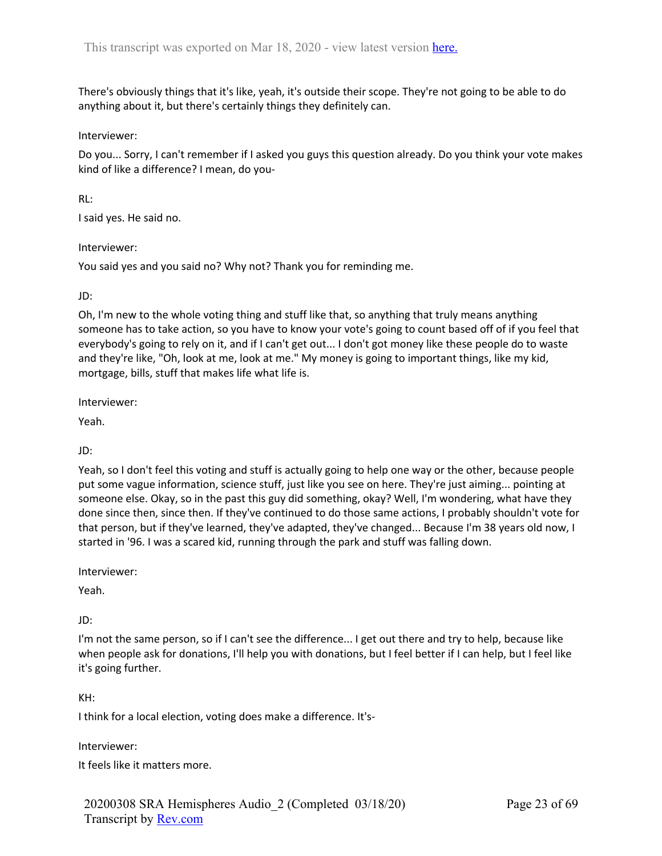There's obviously things that it's like, yeah, it's outside their scope. They're not going to be able to do anything about it, but there's certainly things they definitely can.

#### Interviewer:

Do you... Sorry, I can't remember if I asked you guys this question already. Do you think your vote makes kind of like a difference? I mean, do you-

### RL:

I said yes. He said no.

### Interviewer:

You said yes and you said no? Why not? Thank you for reminding me.

JD:

Oh, I'm new to the whole voting thing and stuff like that, so anything that truly means anything someone has to take action, so you have to know your vote's going to count based off of if you feel that everybody's going to rely on it, and if I can't get out... I don't got money like these people do to waste and they're like, "Oh, look at me, look at me." My money is going to important things, like my kid, mortgage, bills, stuff that makes life what life is.

Interviewer:

Yeah.

## JD:

Yeah, so I don't feel this voting and stuff is actually going to help one way or the other, because people put some vague information, science stuff, just like you see on here. They're just aiming... pointing at someone else. Okay, so in the past this guy did something, okay? Well, I'm wondering, what have they done since then, since then. If they've continued to do those same actions, I probably shouldn't vote for that person, but if they've learned, they've adapted, they've changed... Because I'm 38 years old now, I started in '96. I was a scared kid, running through the park and stuff was falling down.

Interviewer:

Yeah.

JD:

I'm not the same person, so if I can't see the difference... I get out there and try to help, because like when people ask for donations, I'll help you with donations, but I feel better if I can help, but I feel like it's going further.

KH:

I think for a local election, voting does make a difference. It's-

Interviewer:

It feels like it matters more.

20200308 SRA Hemispheres Audio\_2 (Completed 03/18/20) Transcript by Rev.com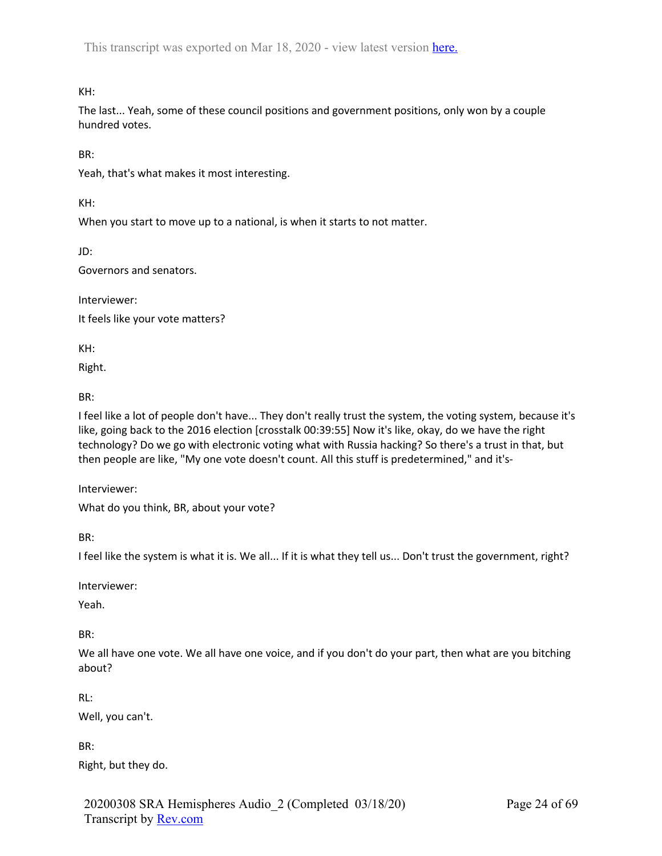KH:

The last... Yeah, some of these council positions and government positions, only won by a couple hundred votes.

BR:

Yeah, that's what makes it most interesting.

KH:

When you start to move up to a national, is when it starts to not matter.

JD:

Governors and senators.

Interviewer: It feels like your vote matters?

KH:

Right.

BR:

I feel like a lot of people don't have... They don't really trust the system, the voting system, because it's like, going back to the 2016 election [crosstalk 00:39:55] Now it's like, okay, do we have the right technology? Do we go with electronic voting what with Russia hacking? So there's a trust in that, but then people are like, "My one vote doesn't count. All this stuff is predetermined," and it's-

Interviewer:

What do you think, BR, about your vote?

BR:

I feel like the system is what it is. We all... If it is what they tell us... Don't trust the government, right?

Interviewer:

Yeah.

BR:

We all have one vote. We all have one voice, and if you don't do your part, then what are you bitching about?

RL:

Well, you can't.

BR:

Right, but they do.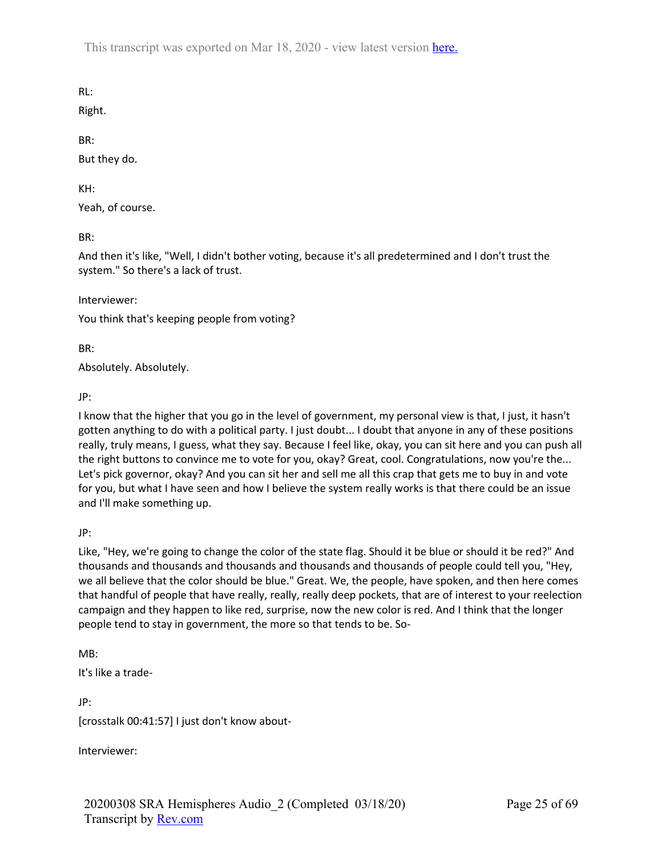RL:

Right.

BR:

But they do.

KH:

Yeah, of course.

BR:

And then it's like, "Well, I didn't bother voting, because it's all predetermined and I don't trust the system." So there's a lack of trust.

Interviewer:

You think that's keeping people from voting?

BR:

Absolutely. Absolutely.

JP:

I know that the higher that you go in the level of government, my personal view is that, I just, it hasn't gotten anything to do with a political party. I just doubt... I doubt that anyone in any of these positions really, truly means, I guess, what they say. Because I feel like, okay, you can sit here and you can push all the right buttons to convince me to vote for you, okay? Great, cool. Congratulations, now you're the... Let's pick governor, okay? And you can sit her and sell me all this crap that gets me to buy in and vote for you, but what I have seen and how I believe the system really works is that there could be an issue and I'll make something up.

JP:

Like, "Hey, we're going to change the color of the state flag. Should it be blue or should it be red?" And thousands and thousands and thousands and thousands and thousands of people could tell you, "Hey, we all believe that the color should be blue." Great. We, the people, have spoken, and then here comes that handful of people that have really, really, really deep pockets, that are of interest to your reelection campaign and they happen to like red, surprise, now the new color is red. And I think that the longer people tend to stay in government, the more so that tends to be. So-

MB:

It's like a trade-

JP: [crosstalk 00:41:57] I just don't know about-

Interviewer: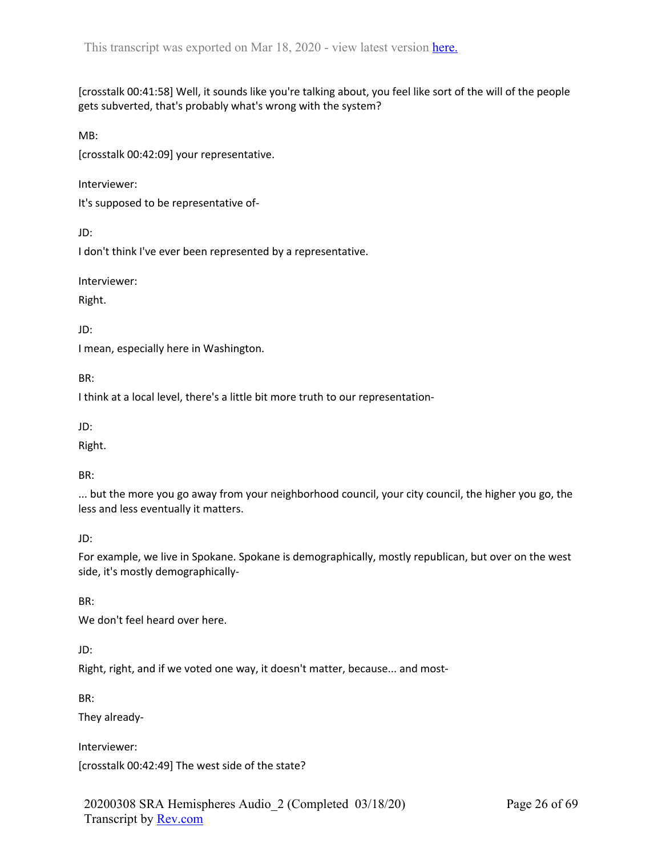[crosstalk 00:41:58] Well, it sounds like you're talking about, you feel like sort of the will of the people gets subverted, that's probably what's wrong with the system?

MB:

[crosstalk 00:42:09] your representative.

Interviewer:

It's supposed to be representative of-

JD:

I don't think I've ever been represented by a representative.

Interviewer:

Right.

JD:

I mean, especially here in Washington.

BR:

I think at a local level, there's a little bit more truth to our representation-

JD:

Right.

BR:

... but the more you go away from your neighborhood council, your city council, the higher you go, the less and less eventually it matters.

## JD:

For example, we live in Spokane. Spokane is demographically, mostly republican, but over on the west side, it's mostly demographically-

BR:

We don't feel heard over here.

JD:

Right, right, and if we voted one way, it doesn't matter, because... and most-

BR:

They already-

Interviewer:

[crosstalk 00:42:49] The west side of the state?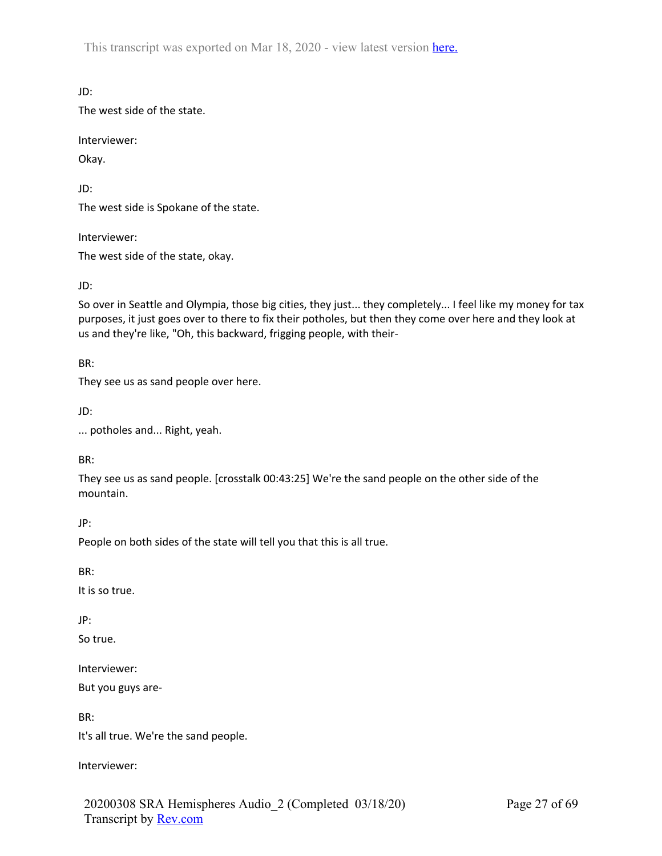JD:

The west side of the state.

Interviewer:

Okay.

JD:

The west side is Spokane of the state.

Interviewer:

The west side of the state, okay.

JD:

So over in Seattle and Olympia, those big cities, they just... they completely... I feel like my money for tax purposes, it just goes over to there to fix their potholes, but then they come over here and they look at us and they're like, "Oh, this backward, frigging people, with their-

BR:

They see us as sand people over here.

JD:

... potholes and... Right, yeah.

BR:

They see us as sand people. [crosstalk 00:43:25] We're the sand people on the other side of the mountain.

JP:

People on both sides of the state will tell you that this is all true.

BR:

It is so true.

JP:

So true.

Interviewer:

But you guys are-

BR:

It's all true. We're the sand people.

Interviewer: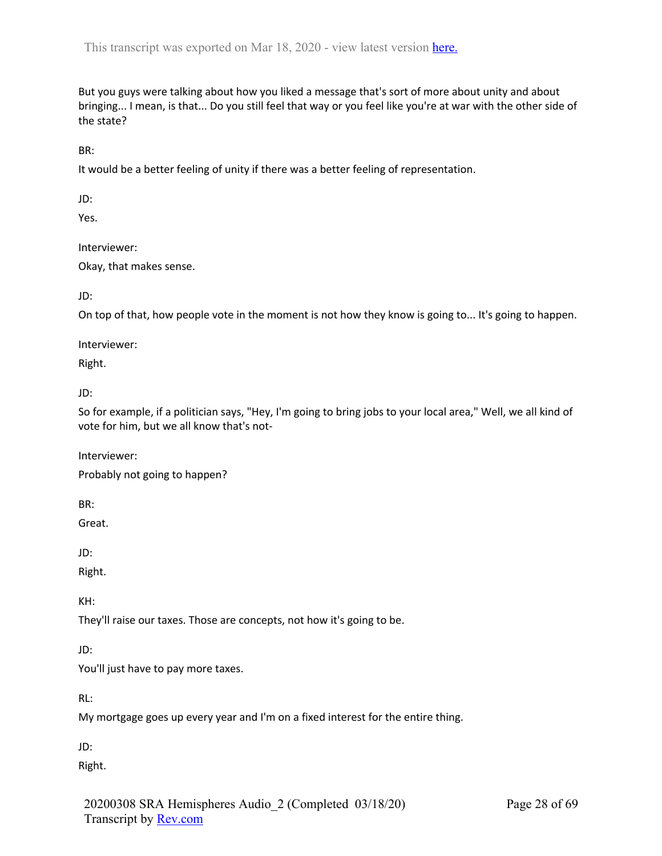But you guys were talking about how you liked a message that's sort of more about unity and about bringing... I mean, is that... Do you still feel that way or you feel like you're at war with the other side of the state?

BR:

It would be a better feeling of unity if there was a better feeling of representation.

JD:

Yes.

Interviewer:

Okay, that makes sense.

JD:

On top of that, how people vote in the moment is not how they know is going to... It's going to happen.

Interviewer:

Right.

JD:

So for example, if a politician says, "Hey, I'm going to bring jobs to your local area," Well, we all kind of vote for him, but we all know that's not-

Interviewer:

Probably not going to happen?

BR:

Great.

JD:

Right.

KH:

They'll raise our taxes. Those are concepts, not how it's going to be.

JD:

You'll just have to pay more taxes.

RL:

My mortgage goes up every year and I'm on a fixed interest for the entire thing.

JD:

Right.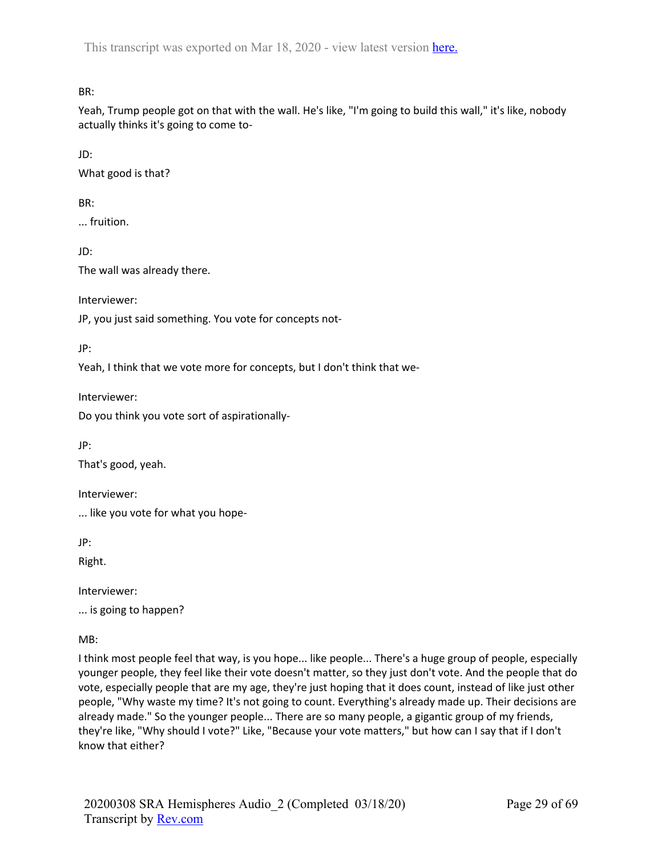BR:

Yeah, Trump people got on that with the wall. He's like, "I'm going to build this wall," it's like, nobody actually thinks it's going to come to-

JD:

What good is that?

BR:

... fruition.

JD:

The wall was already there.

Interviewer:

JP, you just said something. You vote for concepts not-

JP:

Yeah, I think that we vote more for concepts, but I don't think that we-

Interviewer:

Do you think you vote sort of aspirationally-

JP:

That's good, yeah.

Interviewer:

... like you vote for what you hope-

JP:

Right.

Interviewer:

... is going to happen?

MB:

I think most people feel that way, is you hope... like people... There's a huge group of people, especially younger people, they feel like their vote doesn't matter, so they just don't vote. And the people that do vote, especially people that are my age, they're just hoping that it does count, instead of like just other people, "Why waste my time? It's not going to count. Everything's already made up. Their decisions are already made." So the younger people... There are so many people, a gigantic group of my friends, they're like, "Why should I vote?" Like, "Because your vote matters," but how can I say that if I don't know that either?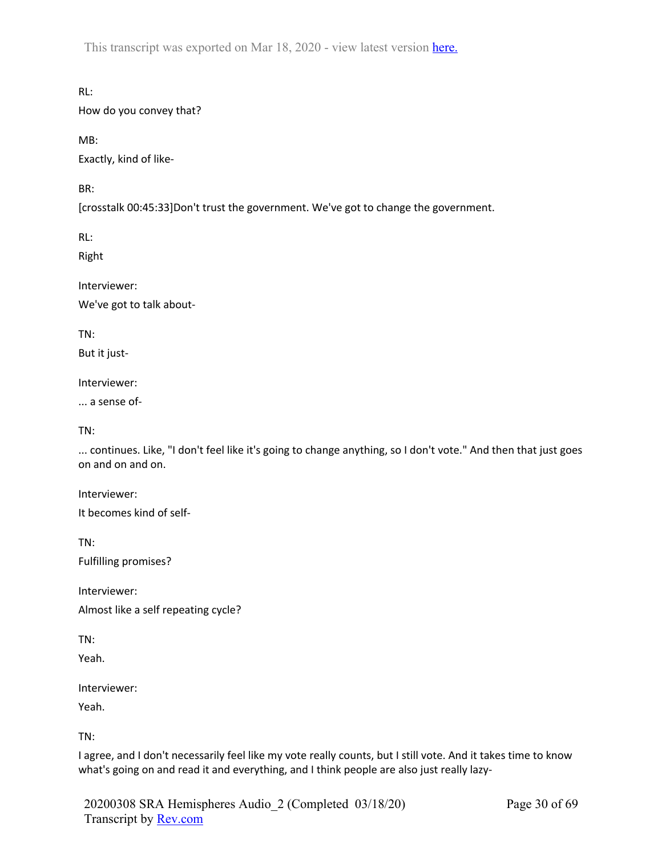RL:

How do you convey that?

MB:

Exactly, kind of like-

BR:

[crosstalk 00:45:33]Don't trust the government. We've got to change the government.

RL:

Right

Interviewer:

We've got to talk about-

TN:

But it just-

Interviewer:

... a sense of-

TN:

... continues. Like, "I don't feel like it's going to change anything, so I don't vote." And then that just goes on and on and on.

Interviewer: It becomes kind of self-

TN: Fulfilling promises?

Interviewer: Almost like a self repeating cycle?

TN:

Yeah.

Interviewer:

Yeah.

TN:

I agree, and I don't necessarily feel like my vote really counts, but I still vote. And it takes time to know what's going on and read it and everything, and I think people are also just really lazy-

20200308 SRA Hemispheres Audio\_2 (Completed 03/18/20) Transcript by Rev.com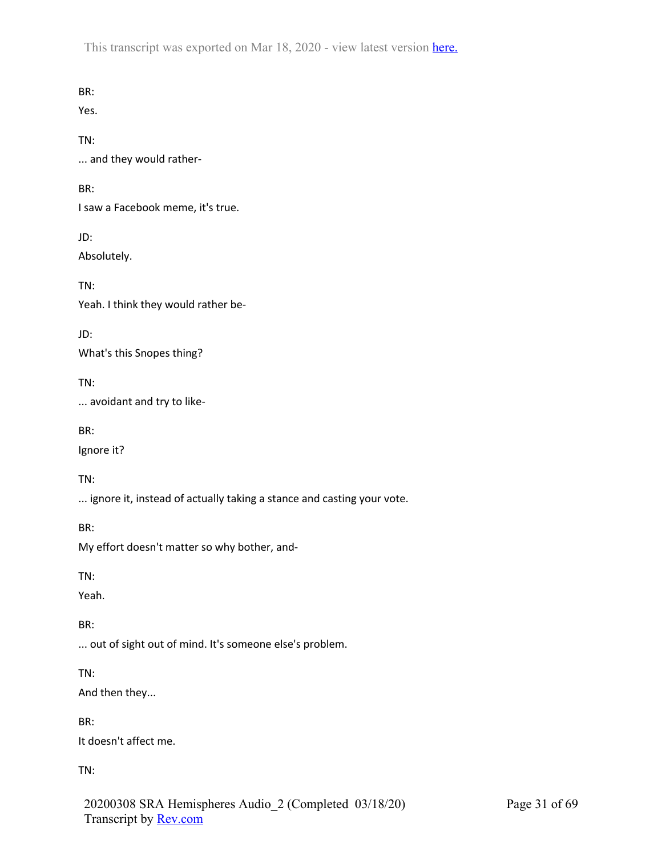BR: Yes. TN: ... and they would rather-BR: I saw a Facebook meme, it's true. JD: Absolutely. TN: Yeah. I think they would rather be-JD: What's this Snopes thing? TN: ... avoidant and try to like-BR: Ignore it? TN: ... ignore it, instead of actually taking a stance and casting your vote. BR: My effort doesn't matter so why bother, and-TN: Yeah. BR: ... out of sight out of mind. It's someone else's problem. TN: And then they... BR: It doesn't affect me.

TN:

20200308 SRA Hemispheres Audio\_2 (Completed 03/18/20) Transcript by Rev.com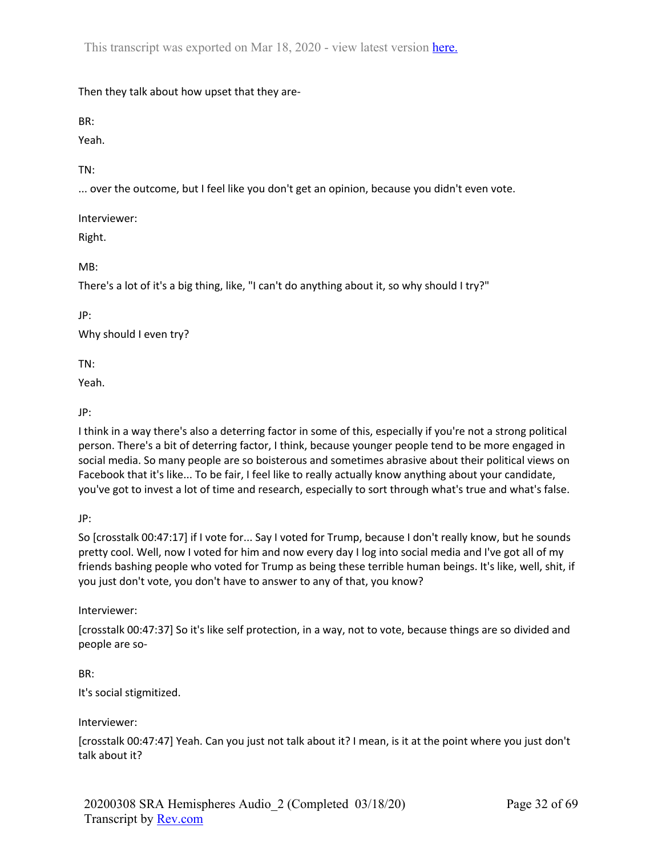Then they talk about how upset that they are-

BR:

Yeah.

TN:

... over the outcome, but I feel like you don't get an opinion, because you didn't even vote.

Interviewer:

Right.

MB:

There's a lot of it's a big thing, like, "I can't do anything about it, so why should I try?"

JP:

Why should I even try?

TN:

Yeah.

JP:

I think in a way there's also a deterring factor in some of this, especially if you're not a strong political person. There's a bit of deterring factor, I think, because younger people tend to be more engaged in social media. So many people are so boisterous and sometimes abrasive about their political views on Facebook that it's like... To be fair, I feel like to really actually know anything about your candidate, you've got to invest a lot of time and research, especially to sort through what's true and what's false.

JP:

So [crosstalk 00:47:17] if I vote for... Say I voted for Trump, because I don't really know, but he sounds pretty cool. Well, now I voted for him and now every day I log into social media and I've got all of my friends bashing people who voted for Trump as being these terrible human beings. It's like, well, shit, if you just don't vote, you don't have to answer to any of that, you know?

Interviewer:

[crosstalk 00:47:37] So it's like self protection, in a way, not to vote, because things are so divided and people are so-

BR:

It's social stigmitized.

Interviewer:

[crosstalk 00:47:47] Yeah. Can you just not talk about it? I mean, is it at the point where you just don't talk about it?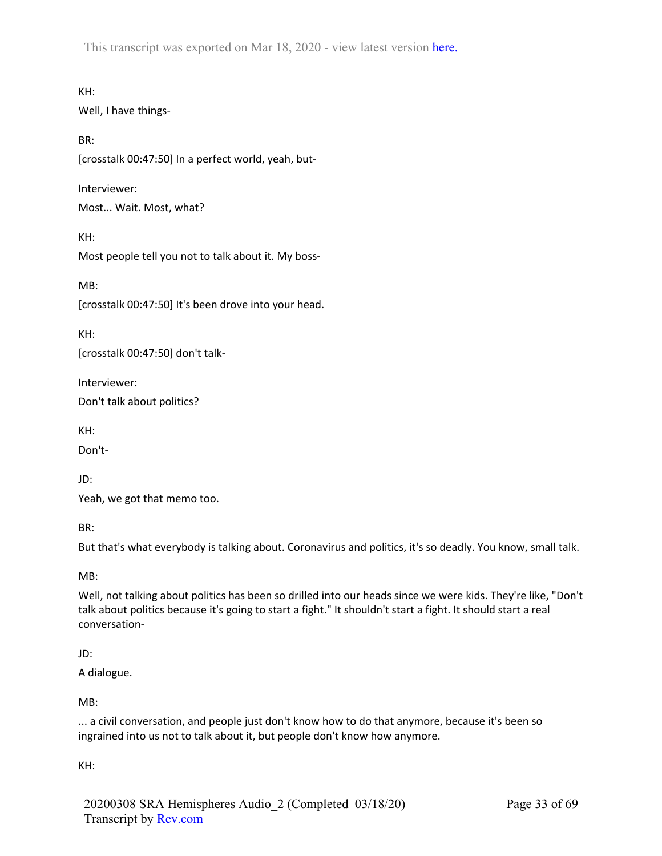KH: Well, I have things-

BR: [crosstalk 00:47:50] In a perfect world, yeah, but-

Interviewer:

Most... Wait. Most, what?

KH: Most people tell you not to talk about it. My boss-

MB:

[crosstalk 00:47:50] It's been drove into your head.

KH:

[crosstalk 00:47:50] don't talk-

Interviewer:

Don't talk about politics?

KH:

Don't-

JD:

Yeah, we got that memo too.

BR:

But that's what everybody is talking about. Coronavirus and politics, it's so deadly. You know, small talk.

MB:

Well, not talking about politics has been so drilled into our heads since we were kids. They're like, "Don't talk about politics because it's going to start a fight." It shouldn't start a fight. It should start a real conversation-

# JD:

A dialogue.

MB:

... a civil conversation, and people just don't know how to do that anymore, because it's been so ingrained into us not to talk about it, but people don't know how anymore.

KH: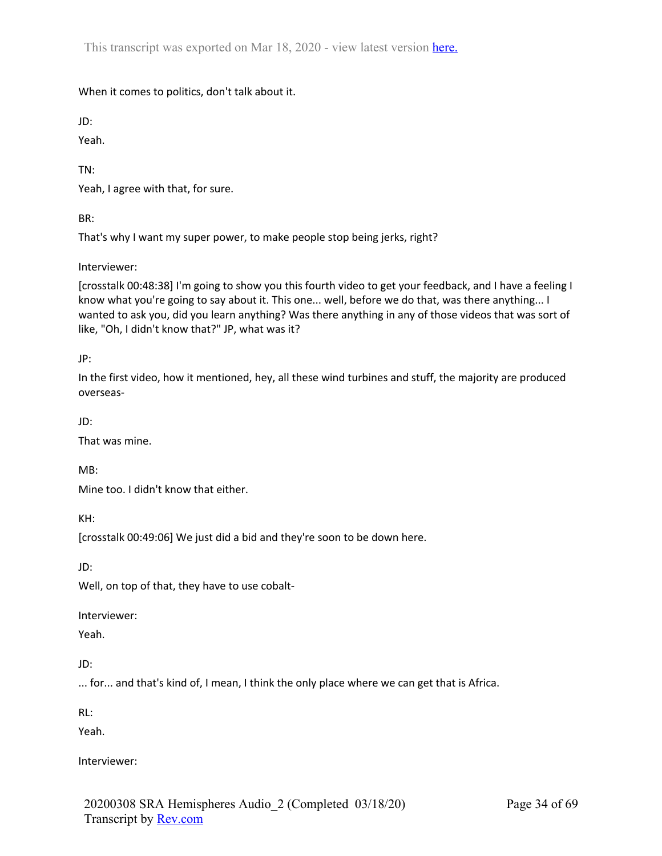When it comes to politics, don't talk about it.

JD:

Yeah.

TN:

Yeah, I agree with that, for sure.

BR:

That's why I want my super power, to make people stop being jerks, right?

Interviewer:

[crosstalk 00:48:38] I'm going to show you this fourth video to get your feedback, and I have a feeling I know what you're going to say about it. This one... well, before we do that, was there anything... I wanted to ask you, did you learn anything? Was there anything in any of those videos that was sort of like, "Oh, I didn't know that?" JP, what was it?

JP:

In the first video, how it mentioned, hey, all these wind turbines and stuff, the majority are produced overseas-

JD:

That was mine.

MB:

Mine too. I didn't know that either.

KH:

[crosstalk 00:49:06] We just did a bid and they're soon to be down here.

JD:

Well, on top of that, they have to use cobalt-

Interviewer:

Yeah.

JD:

... for... and that's kind of, I mean, I think the only place where we can get that is Africa.

RL:

Yeah.

Interviewer: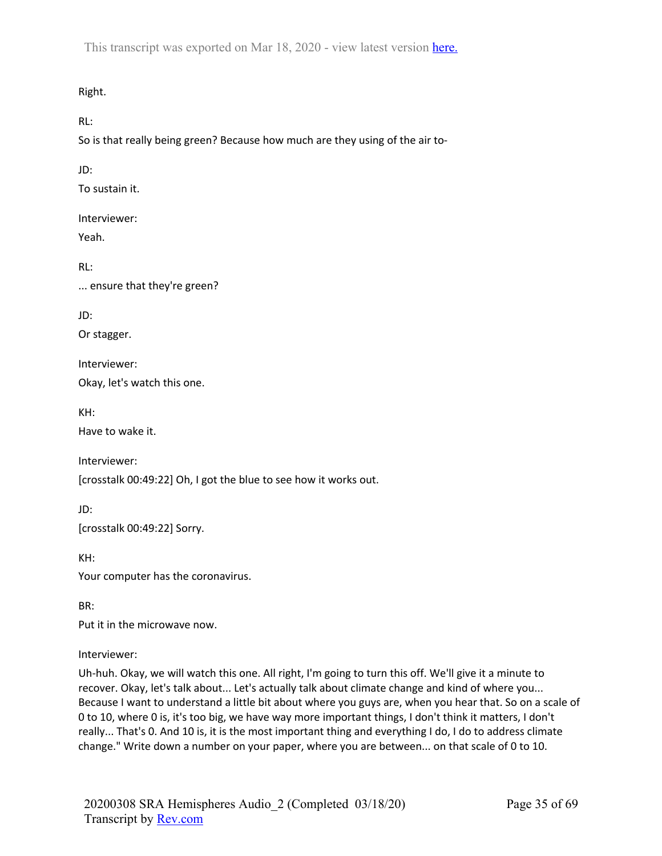Right.

RL:

So is that really being green? Because how much are they using of the air to-

JD:

To sustain it.

Interviewer:

Yeah.

RL:

... ensure that they're green?

JD:

Or stagger.

Interviewer:

Okay, let's watch this one.

KH:

Have to wake it.

Interviewer:

[crosstalk 00:49:22] Oh, I got the blue to see how it works out.

JD:

[crosstalk 00:49:22] Sorry.

KH: Your computer has the coronavirus.

BR:

Put it in the microwave now.

Interviewer:

Uh-huh. Okay, we will watch this one. All right, I'm going to turn this off. We'll give it a minute to recover. Okay, let's talk about... Let's actually talk about climate change and kind of where you... Because I want to understand a little bit about where you guys are, when you hear that. So on a scale of 0 to 10, where 0 is, it's too big, we have way more important things, I don't think it matters, I don't really... That's 0. And 10 is, it is the most important thing and everything I do, I do to address climate change." Write down a number on your paper, where you are between... on that scale of 0 to 10.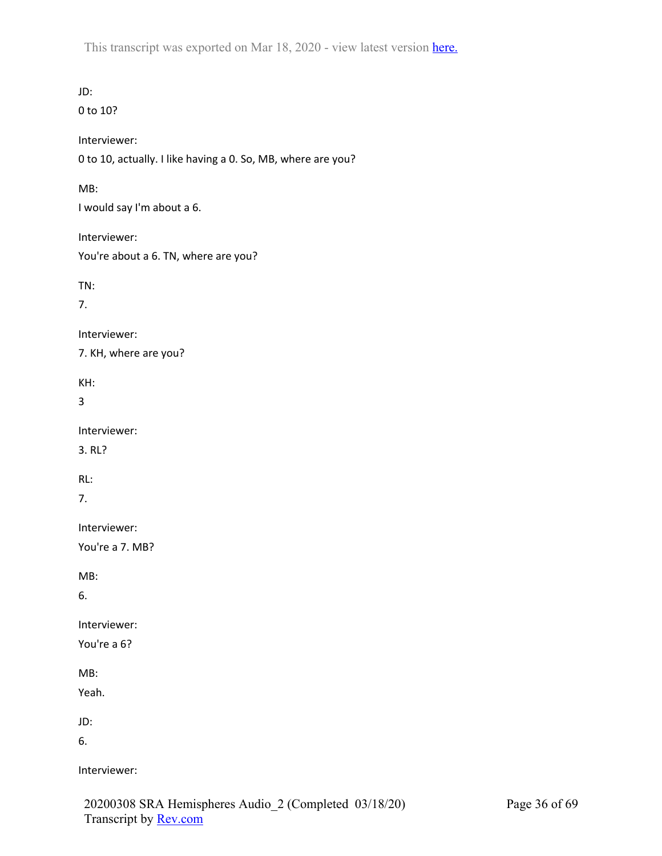JD: 0 to 10? Interviewer: 0 to 10, actually. I like having a 0. So, MB, where are you? MB: I would say I'm about a 6. Interviewer: You're about a 6. TN, where are you? TN: 7. Interviewer: 7. KH, where are you? KH: 3 Interviewer: 3. RL? RL: 7. Interviewer: You're a 7. MB? MB: 6. Interviewer: You're a 6? MB: Yeah. JD: 6. Interviewer: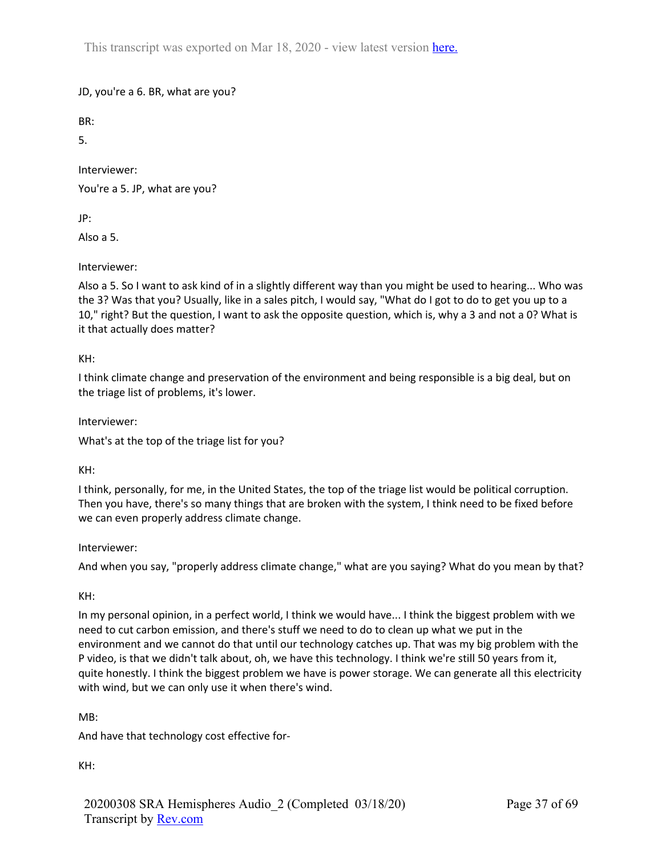JD, you're a 6. BR, what are you?

BR:

5.

Interviewer:

You're a 5. JP, what are you?

JP:

Also a 5.

Interviewer:

Also a 5. So I want to ask kind of in a slightly different way than you might be used to hearing... Who was the 3? Was that you? Usually, like in a sales pitch, I would say, "What do I got to do to get you up to a 10," right? But the question, I want to ask the opposite question, which is, why a 3 and not a 0? What is it that actually does matter?

KH:

I think climate change and preservation of the environment and being responsible is a big deal, but on the triage list of problems, it's lower.

Interviewer:

What's at the top of the triage list for you?

KH:

I think, personally, for me, in the United States, the top of the triage list would be political corruption. Then you have, there's so many things that are broken with the system, I think need to be fixed before we can even properly address climate change.

Interviewer:

And when you say, "properly address climate change," what are you saying? What do you mean by that?

KH:

In my personal opinion, in a perfect world, I think we would have... I think the biggest problem with we need to cut carbon emission, and there's stuff we need to do to clean up what we put in the environment and we cannot do that until our technology catches up. That was my big problem with the P video, is that we didn't talk about, oh, we have this technology. I think we're still 50 years from it, quite honestly. I think the biggest problem we have is power storage. We can generate all this electricity with wind, but we can only use it when there's wind.

MB:

And have that technology cost effective for-

KH: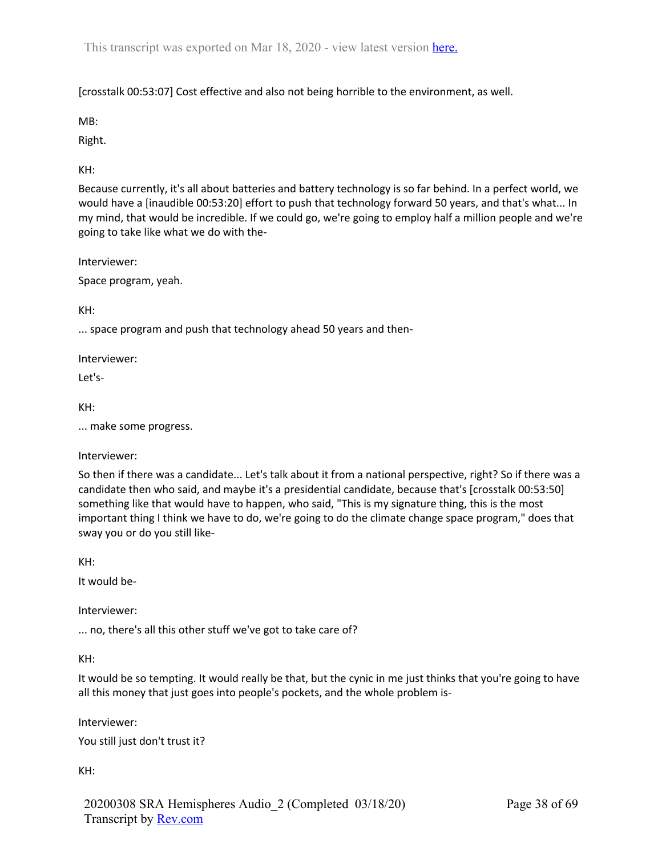[crosstalk 00:53:07] Cost effective and also not being horrible to the environment, as well.

MB:

Right.

KH:

Because currently, it's all about batteries and battery technology is so far behind. In a perfect world, we would have a [inaudible 00:53:20] effort to push that technology forward 50 years, and that's what... In my mind, that would be incredible. If we could go, we're going to employ half a million people and we're going to take like what we do with the-

Interviewer:

Space program, yeah.

KH:

... space program and push that technology ahead 50 years and then-

Interviewer:

Let's-

KH:

... make some progress.

Interviewer:

So then if there was a candidate... Let's talk about it from a national perspective, right? So if there was a candidate then who said, and maybe it's a presidential candidate, because that's [crosstalk 00:53:50] something like that would have to happen, who said, "This is my signature thing, this is the most important thing I think we have to do, we're going to do the climate change space program," does that sway you or do you still like-

KH:

It would be-

Interviewer:

... no, there's all this other stuff we've got to take care of?

KH:

It would be so tempting. It would really be that, but the cynic in me just thinks that you're going to have all this money that just goes into people's pockets, and the whole problem is-

Interviewer:

You still just don't trust it?

KH:

20200308 SRA Hemispheres Audio\_2 (Completed 03/18/20) Transcript by Rev.com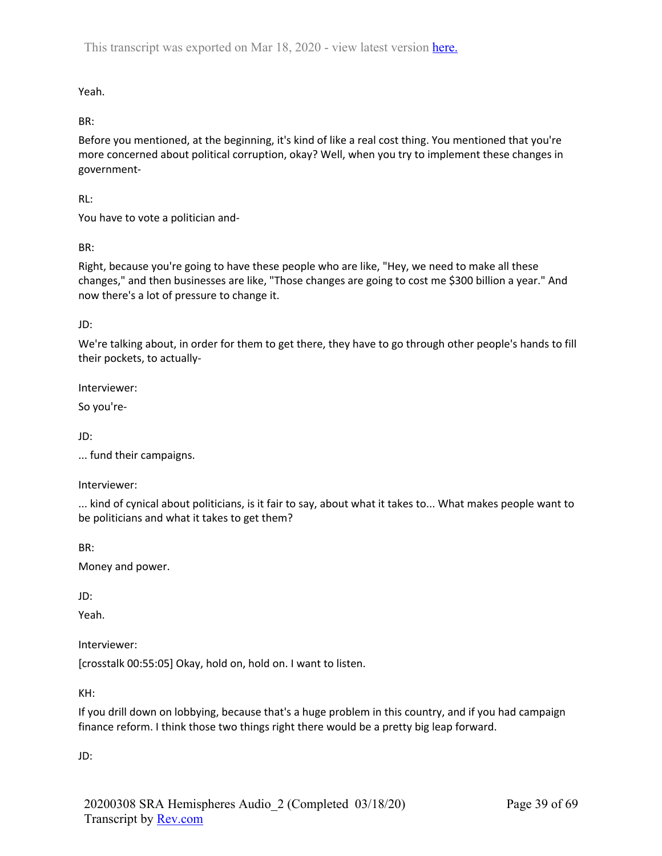Yeah.

BR:

Before you mentioned, at the beginning, it's kind of like a real cost thing. You mentioned that you're more concerned about political corruption, okay? Well, when you try to implement these changes in government-

RL:

You have to vote a politician and-

BR:

Right, because you're going to have these people who are like, "Hey, we need to make all these changes," and then businesses are like, "Those changes are going to cost me \$300 billion a year." And now there's a lot of pressure to change it.

JD:

We're talking about, in order for them to get there, they have to go through other people's hands to fill their pockets, to actually-

Interviewer:

So you're-

JD:

... fund their campaigns.

Interviewer:

... kind of cynical about politicians, is it fair to say, about what it takes to... What makes people want to be politicians and what it takes to get them?

BR:

Money and power.

JD:

Yeah.

Interviewer:

[crosstalk 00:55:05] Okay, hold on, hold on. I want to listen.

KH:

If you drill down on lobbying, because that's a huge problem in this country, and if you had campaign finance reform. I think those two things right there would be a pretty big leap forward.

JD: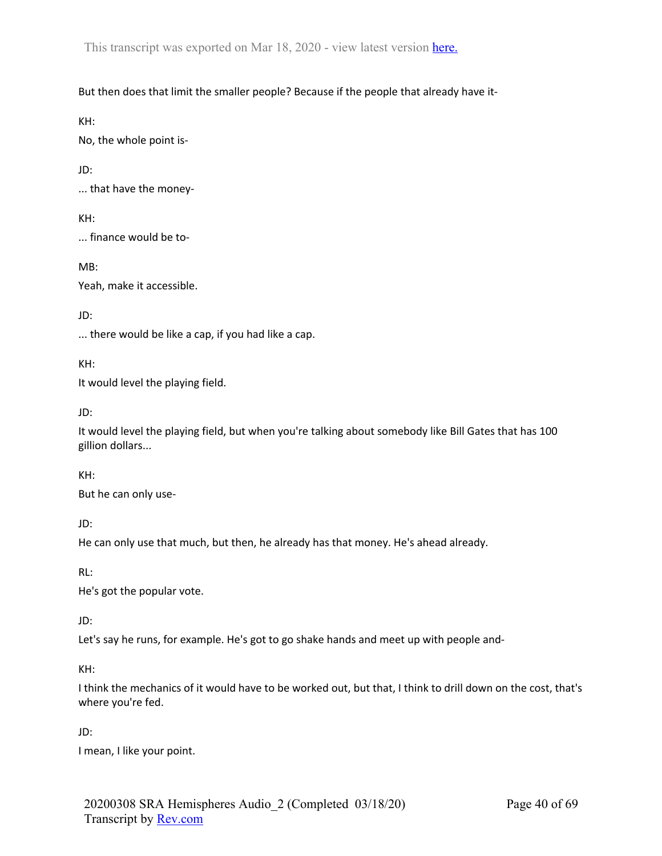But then does that limit the smaller people? Because if the people that already have it-

KH:

No, the whole point is-

JD:

... that have the money-

KH:

... finance would be to-

MB:

Yeah, make it accessible.

JD:

... there would be like a cap, if you had like a cap.

KH:

It would level the playing field.

JD:

It would level the playing field, but when you're talking about somebody like Bill Gates that has 100 gillion dollars...

KH:

But he can only use-

JD:

He can only use that much, but then, he already has that money. He's ahead already.

RL:

He's got the popular vote.

JD:

Let's say he runs, for example. He's got to go shake hands and meet up with people and-

KH:

I think the mechanics of it would have to be worked out, but that, I think to drill down on the cost, that's where you're fed.

JD:

I mean, I like your point.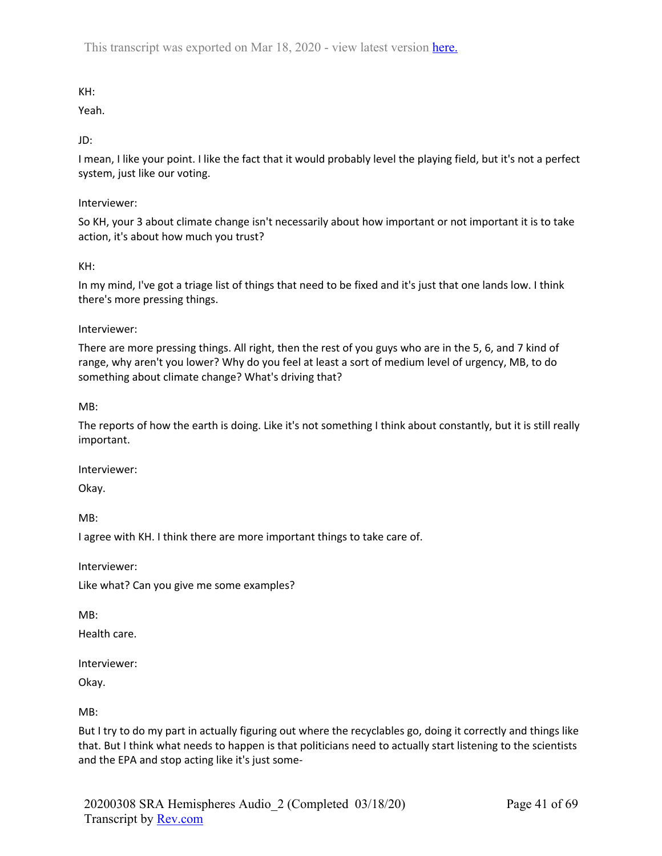KH:

Yeah.

JD:

I mean, I like your point. I like the fact that it would probably level the playing field, but it's not a perfect system, just like our voting.

Interviewer:

So KH, your 3 about climate change isn't necessarily about how important or not important it is to take action, it's about how much you trust?

KH:

In my mind, I've got a triage list of things that need to be fixed and it's just that one lands low. I think there's more pressing things.

Interviewer:

There are more pressing things. All right, then the rest of you guys who are in the 5, 6, and 7 kind of range, why aren't you lower? Why do you feel at least a sort of medium level of urgency, MB, to do something about climate change? What's driving that?

MB:

The reports of how the earth is doing. Like it's not something I think about constantly, but it is still really important.

Interviewer:

Okay.

MB:

I agree with KH. I think there are more important things to take care of.

Interviewer:

Like what? Can you give me some examples?

MB:

Health care.

Interviewer:

Okay.

MB:

But I try to do my part in actually figuring out where the recyclables go, doing it correctly and things like that. But I think what needs to happen is that politicians need to actually start listening to the scientists and the EPA and stop acting like it's just some-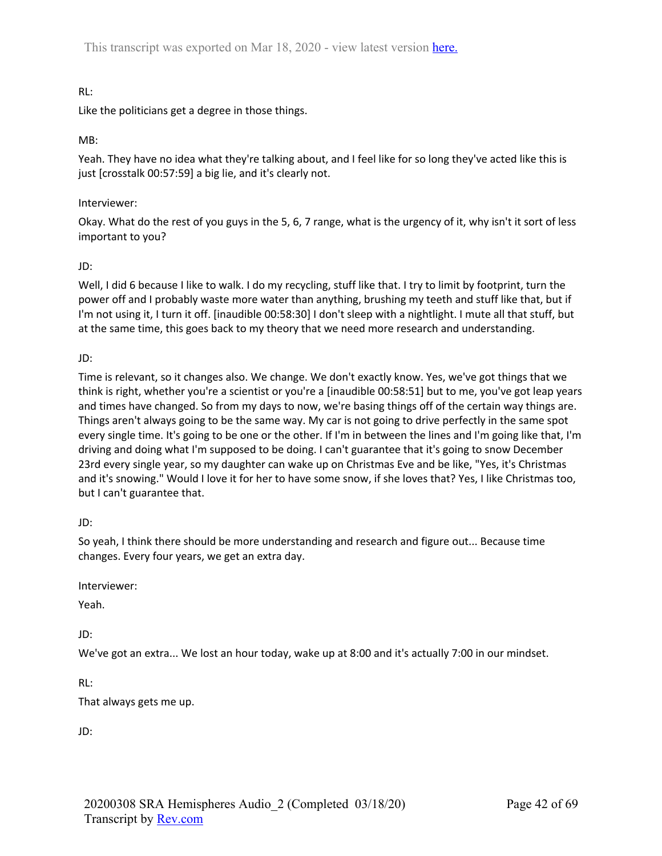# RL:

Like the politicians get a degree in those things.

### MB:

Yeah. They have no idea what they're talking about, and I feel like for so long they've acted like this is just [crosstalk 00:57:59] a big lie, and it's clearly not.

#### Interviewer:

Okay. What do the rest of you guys in the 5, 6, 7 range, what is the urgency of it, why isn't it sort of less important to you?

### JD:

Well, I did 6 because I like to walk. I do my recycling, stuff like that. I try to limit by footprint, turn the power off and I probably waste more water than anything, brushing my teeth and stuff like that, but if I'm not using it, I turn it off. [inaudible 00:58:30] I don't sleep with a nightlight. I mute all that stuff, but at the same time, this goes back to my theory that we need more research and understanding.

### JD:

Time is relevant, so it changes also. We change. We don't exactly know. Yes, we've got things that we think is right, whether you're a scientist or you're a [inaudible 00:58:51] but to me, you've got leap years and times have changed. So from my days to now, we're basing things off of the certain way things are. Things aren't always going to be the same way. My car is not going to drive perfectly in the same spot every single time. It's going to be one or the other. If I'm in between the lines and I'm going like that, I'm driving and doing what I'm supposed to be doing. I can't guarantee that it's going to snow December 23rd every single year, so my daughter can wake up on Christmas Eve and be like, "Yes, it's Christmas and it's snowing." Would I love it for her to have some snow, if she loves that? Yes, I like Christmas too, but I can't guarantee that.

#### JD:

So yeah, I think there should be more understanding and research and figure out... Because time changes. Every four years, we get an extra day.

Interviewer:

Yeah.

JD:

We've got an extra... We lost an hour today, wake up at 8:00 and it's actually 7:00 in our mindset.

RL:

That always gets me up.

JD: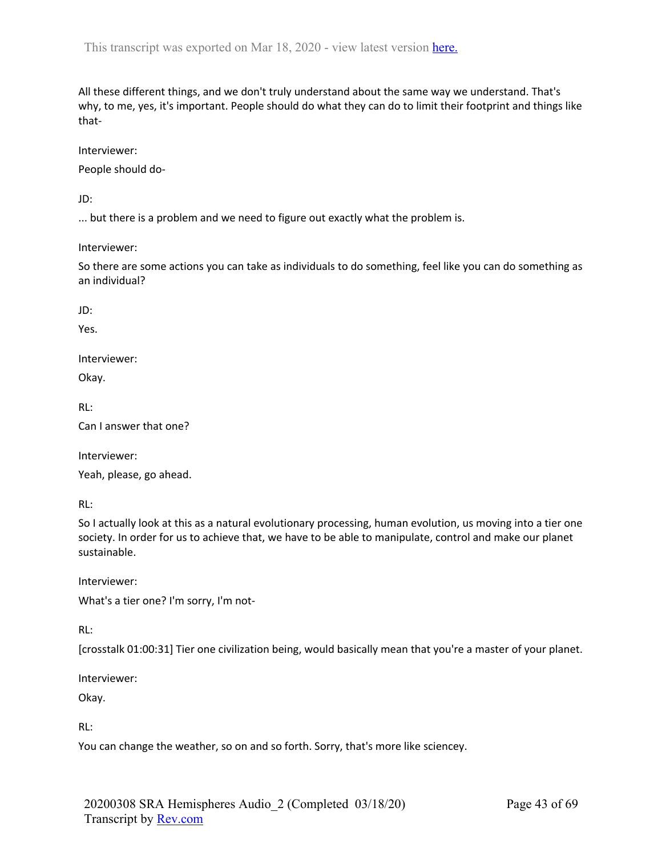All these different things, and we don't truly understand about the same way we understand. That's why, to me, yes, it's important. People should do what they can do to limit their footprint and things like that-

Interviewer:

People should do-

JD:

... but there is a problem and we need to figure out exactly what the problem is.

Interviewer:

So there are some actions you can take as individuals to do something, feel like you can do something as an individual?

JD:

Yes.

Interviewer:

Okay.

RL:

Can I answer that one?

Interviewer:

Yeah, please, go ahead.

RL:

So I actually look at this as a natural evolutionary processing, human evolution, us moving into a tier one society. In order for us to achieve that, we have to be able to manipulate, control and make our planet sustainable.

Interviewer:

What's a tier one? I'm sorry, I'm not-

RL:

[crosstalk 01:00:31] Tier one civilization being, would basically mean that you're a master of your planet.

Interviewer:

Okay.

RL:

You can change the weather, so on and so forth. Sorry, that's more like sciencey.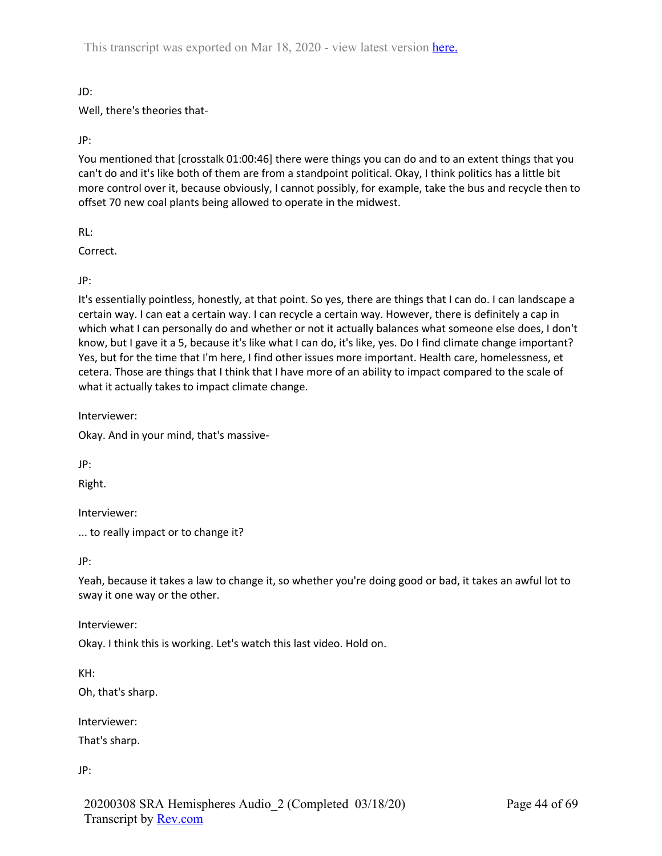JD:

Well, there's theories that-

JP:

You mentioned that [crosstalk 01:00:46] there were things you can do and to an extent things that you can't do and it's like both of them are from a standpoint political. Okay, I think politics has a little bit more control over it, because obviously, I cannot possibly, for example, take the bus and recycle then to offset 70 new coal plants being allowed to operate in the midwest.

RL:

Correct.

JP:

It's essentially pointless, honestly, at that point. So yes, there are things that I can do. I can landscape a certain way. I can eat a certain way. I can recycle a certain way. However, there is definitely a cap in which what I can personally do and whether or not it actually balances what someone else does, I don't know, but I gave it a 5, because it's like what I can do, it's like, yes. Do I find climate change important? Yes, but for the time that I'm here, I find other issues more important. Health care, homelessness, et cetera. Those are things that I think that I have more of an ability to impact compared to the scale of what it actually takes to impact climate change.

Interviewer:

Okay. And in your mind, that's massive-

JP:

Right.

Interviewer:

... to really impact or to change it?

JP:

Yeah, because it takes a law to change it, so whether you're doing good or bad, it takes an awful lot to sway it one way or the other.

Interviewer:

Okay. I think this is working. Let's watch this last video. Hold on.

KH:

Oh, that's sharp.

Interviewer:

That's sharp.

JP: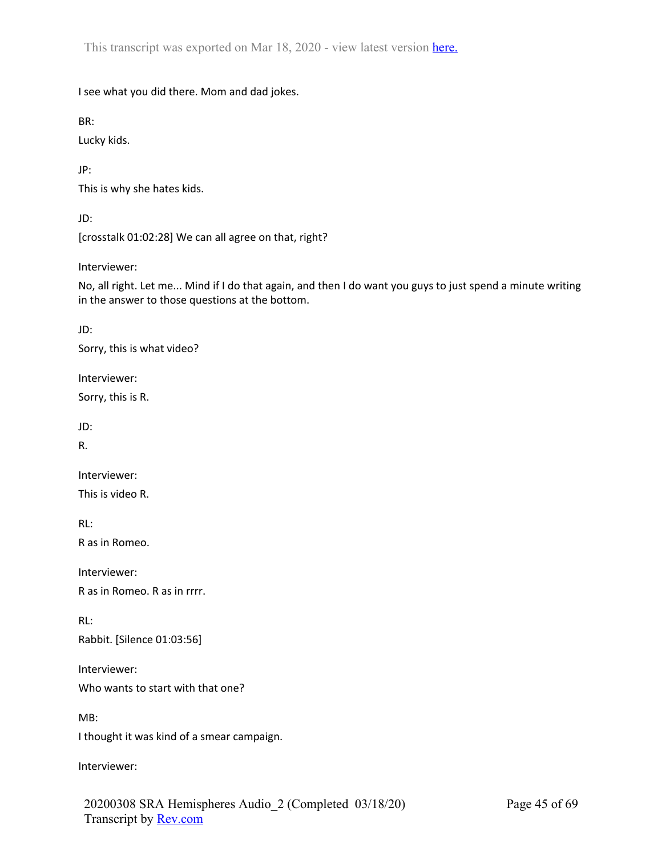I see what you did there. Mom and dad jokes.

BR:

Lucky kids.

JP:

This is why she hates kids.

JD:

[crosstalk 01:02:28] We can all agree on that, right?

Interviewer:

No, all right. Let me... Mind if I do that again, and then I do want you guys to just spend a minute writing in the answer to those questions at the bottom.

JD:

Sorry, this is what video?

Interviewer:

Sorry, this is R.

JD:

R.

Interviewer:

This is video R.

RL:

R as in Romeo.

Interviewer:

R as in Romeo. R as in rrrr.

RL:

Rabbit. [Silence 01:03:56]

Interviewer:

Who wants to start with that one?

MB:

I thought it was kind of a smear campaign.

Interviewer: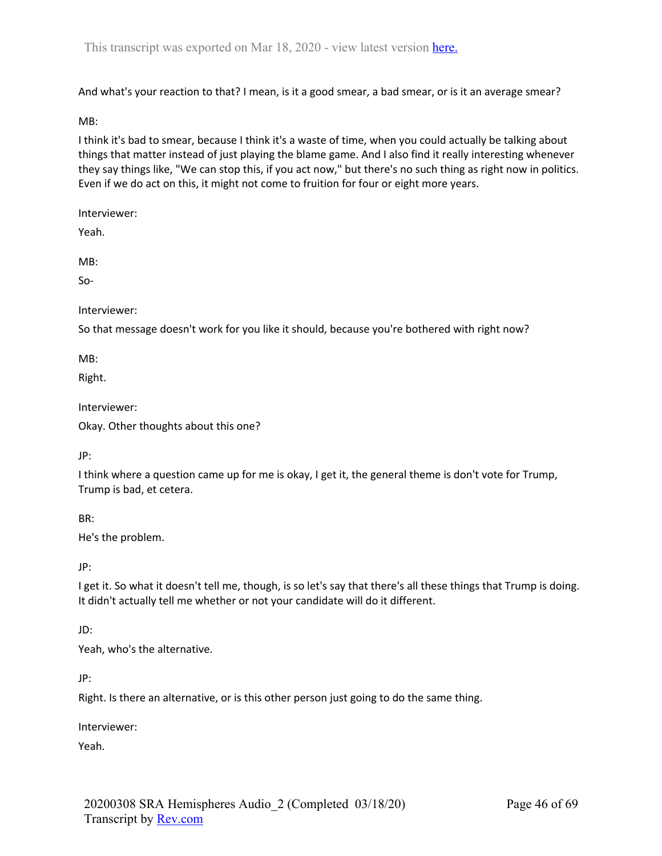And what's your reaction to that? I mean, is it a good smear, a bad smear, or is it an average smear?

MB:

I think it's bad to smear, because I think it's a waste of time, when you could actually be talking about things that matter instead of just playing the blame game. And I also find it really interesting whenever they say things like, "We can stop this, if you act now," but there's no such thing as right now in politics. Even if we do act on this, it might not come to fruition for four or eight more years.

Interviewer:

Yeah.

MB:

So-

Interviewer:

So that message doesn't work for you like it should, because you're bothered with right now?

MB:

Right.

Interviewer:

Okay. Other thoughts about this one?

JP:

I think where a question came up for me is okay, I get it, the general theme is don't vote for Trump, Trump is bad, et cetera.

BR:

He's the problem.

JP:

I get it. So what it doesn't tell me, though, is so let's say that there's all these things that Trump is doing. It didn't actually tell me whether or not your candidate will do it different.

#### JD:

Yeah, who's the alternative.

JP:

Right. Is there an alternative, or is this other person just going to do the same thing.

Interviewer:

Yeah.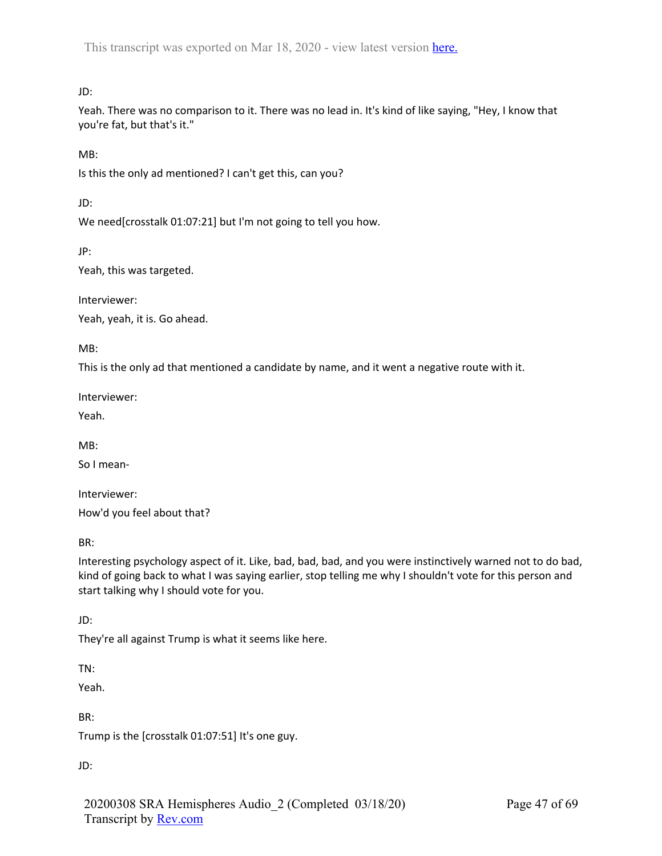JD:

Yeah. There was no comparison to it. There was no lead in. It's kind of like saying, "Hey, I know that you're fat, but that's it."

MB:

Is this the only ad mentioned? I can't get this, can you?

JD:

We need[crosstalk 01:07:21] but I'm not going to tell you how.

JP:

Yeah, this was targeted.

Interviewer:

Yeah, yeah, it is. Go ahead.

MB:

This is the only ad that mentioned a candidate by name, and it went a negative route with it.

Interviewer:

Yeah.

MB:

So I mean-

Interviewer: How'd you feel about that?

BR:

Interesting psychology aspect of it. Like, bad, bad, bad, and you were instinctively warned not to do bad, kind of going back to what I was saying earlier, stop telling me why I shouldn't vote for this person and start talking why I should vote for you.

JD:

They're all against Trump is what it seems like here.

TN:

Yeah.

BR:

Trump is the [crosstalk 01:07:51] It's one guy.

JD:

20200308 SRA Hemispheres Audio\_2 (Completed 03/18/20) Transcript by Rev.com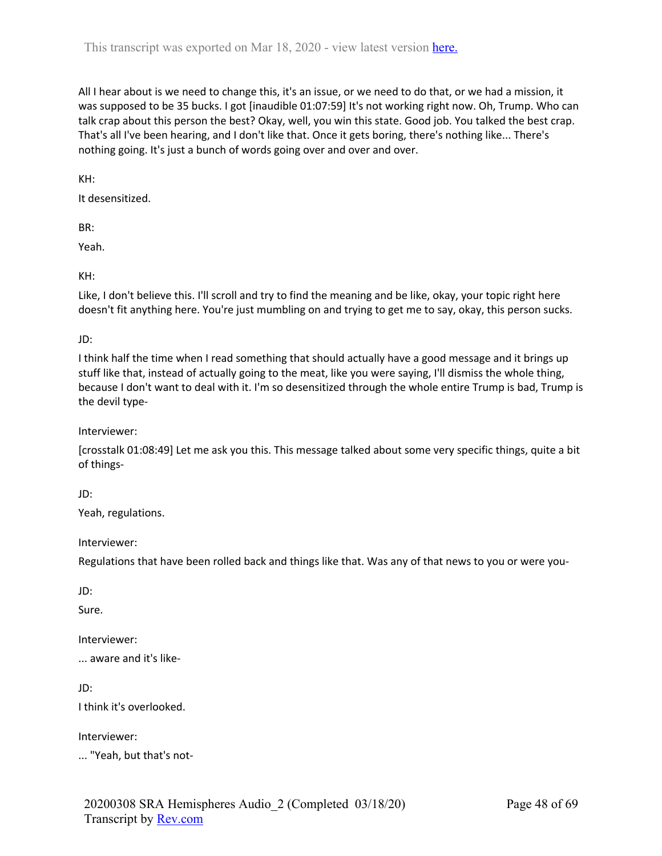All I hear about is we need to change this, it's an issue, or we need to do that, or we had a mission, it was supposed to be 35 bucks. I got [inaudible 01:07:59] It's not working right now. Oh, Trump. Who can talk crap about this person the best? Okay, well, you win this state. Good job. You talked the best crap. That's all I've been hearing, and I don't like that. Once it gets boring, there's nothing like... There's nothing going. It's just a bunch of words going over and over and over.

KH:

It desensitized.

BR:

Yeah.

KH:

Like, I don't believe this. I'll scroll and try to find the meaning and be like, okay, your topic right here doesn't fit anything here. You're just mumbling on and trying to get me to say, okay, this person sucks.

JD:

I think half the time when I read something that should actually have a good message and it brings up stuff like that, instead of actually going to the meat, like you were saying, I'll dismiss the whole thing, because I don't want to deal with it. I'm so desensitized through the whole entire Trump is bad, Trump is the devil type-

Interviewer:

[crosstalk 01:08:49] Let me ask you this. This message talked about some very specific things, quite a bit of things-

JD:

Yeah, regulations.

Interviewer:

Regulations that have been rolled back and things like that. Was any of that news to you or were you-

JD:

Sure.

Interviewer:

... aware and it's like-

JD:

I think it's overlooked.

Interviewer:

... "Yeah, but that's not-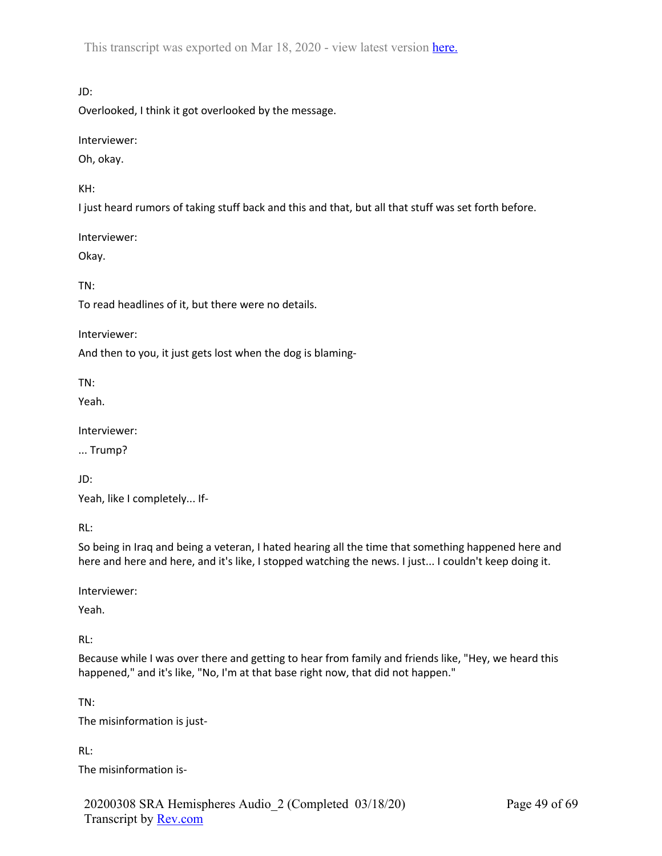JD:

Overlooked, I think it got overlooked by the message.

Interviewer:

Oh, okay.

KH:

I just heard rumors of taking stuff back and this and that, but all that stuff was set forth before.

Interviewer:

Okay.

TN:

To read headlines of it, but there were no details.

Interviewer:

And then to you, it just gets lost when the dog is blaming-

TN:

Yeah.

Interviewer:

... Trump?

JD:

Yeah, like I completely... If-

RL:

So being in Iraq and being a veteran, I hated hearing all the time that something happened here and here and here and here, and it's like, I stopped watching the news. I just... I couldn't keep doing it.

Interviewer:

Yeah.

RL:

Because while I was over there and getting to hear from family and friends like, "Hey, we heard this happened," and it's like, "No, I'm at that base right now, that did not happen."

TN:

The misinformation is just-

RL:

The misinformation is-

20200308 SRA Hemispheres Audio\_2 (Completed 03/18/20) Transcript by Rev.com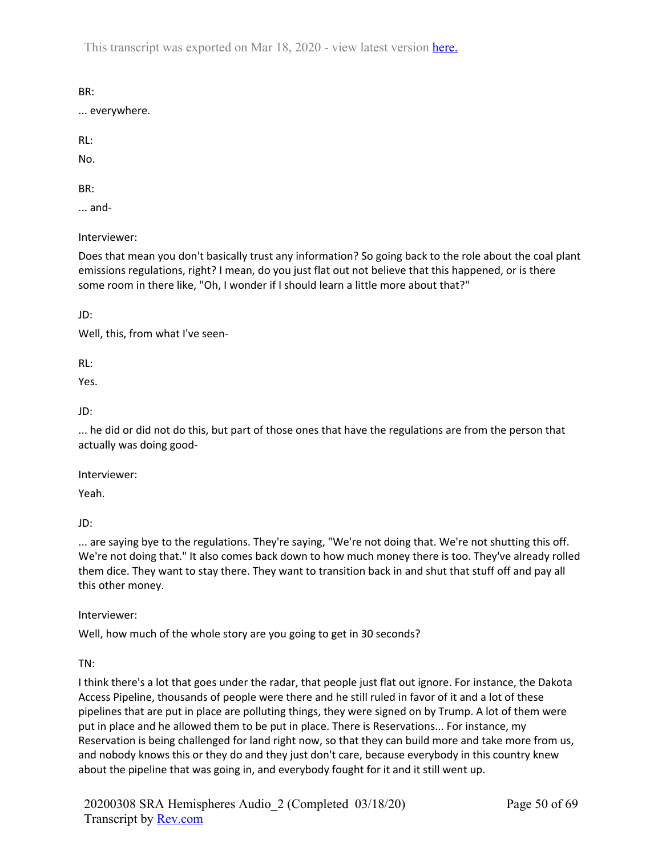BR:

... everywhere.

RL:

No.

BR:

... and-

Interviewer:

Does that mean you don't basically trust any information? So going back to the role about the coal plant emissions regulations, right? I mean, do you just flat out not believe that this happened, or is there some room in there like, "Oh, I wonder if I should learn a little more about that?"

JD:

Well, this, from what I've seen-

RL:

Yes.

JD:

... he did or did not do this, but part of those ones that have the regulations are from the person that actually was doing good-

Interviewer:

Yeah.

JD:

... are saying bye to the regulations. They're saying, "We're not doing that. We're not shutting this off. We're not doing that." It also comes back down to how much money there is too. They've already rolled them dice. They want to stay there. They want to transition back in and shut that stuff off and pay all this other money.

Interviewer:

Well, how much of the whole story are you going to get in 30 seconds?

TN:

I think there's a lot that goes under the radar, that people just flat out ignore. For instance, the Dakota Access Pipeline, thousands of people were there and he still ruled in favor of it and a lot of these pipelines that are put in place are polluting things, they were signed on by Trump. A lot of them were put in place and he allowed them to be put in place. There is Reservations... For instance, my Reservation is being challenged for land right now, so that they can build more and take more from us, and nobody knows this or they do and they just don't care, because everybody in this country knew about the pipeline that was going in, and everybody fought for it and it still went up.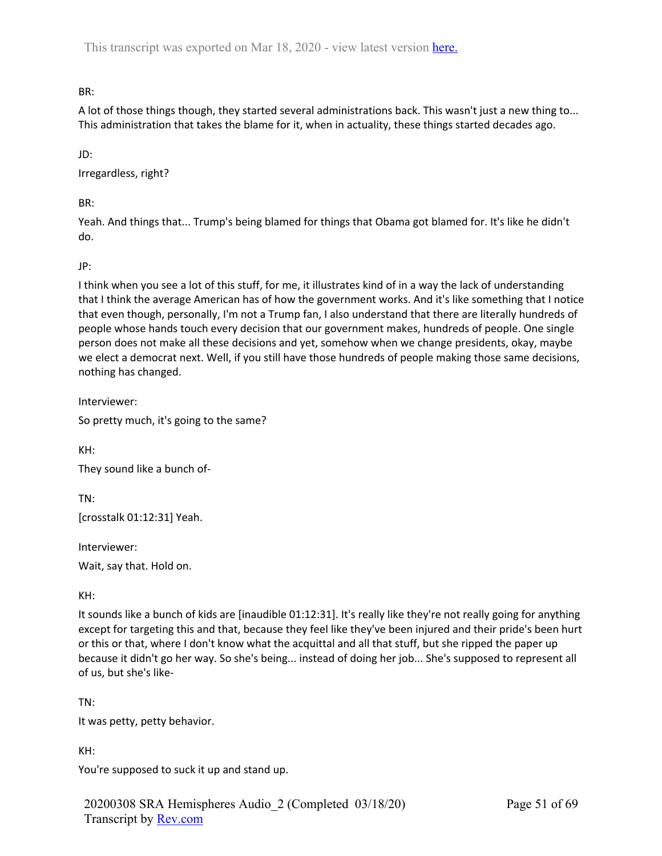BR:

A lot of those things though, they started several administrations back. This wasn't just a new thing to... This administration that takes the blame for it, when in actuality, these things started decades ago.

JD:

Irregardless, right?

BR:

Yeah. And things that... Trump's being blamed for things that Obama got blamed for. It's like he didn't do.

JP:

I think when you see a lot of this stuff, for me, it illustrates kind of in a way the lack of understanding that I think the average American has of how the government works. And it's like something that I notice that even though, personally, I'm not a Trump fan, I also understand that there are literally hundreds of people whose hands touch every decision that our government makes, hundreds of people. One single person does not make all these decisions and yet, somehow when we change presidents, okay, maybe we elect a democrat next. Well, if you still have those hundreds of people making those same decisions, nothing has changed.

Interviewer:

So pretty much, it's going to the same?

KH:

They sound like a bunch of-

TN: [crosstalk 01:12:31] Yeah.

Interviewer:

Wait, say that. Hold on.

KH:

It sounds like a bunch of kids are [inaudible 01:12:31]. It's really like they're not really going for anything except for targeting this and that, because they feel like they've been injured and their pride's been hurt or this or that, where I don't know what the acquittal and all that stuff, but she ripped the paper up because it didn't go her way. So she's being... instead of doing her job... She's supposed to represent all of us, but she's like-

TN:

It was petty, petty behavior.

KH:

You're supposed to suck it up and stand up.

20200308 SRA Hemispheres Audio\_2 (Completed 03/18/20) Transcript by Rev.com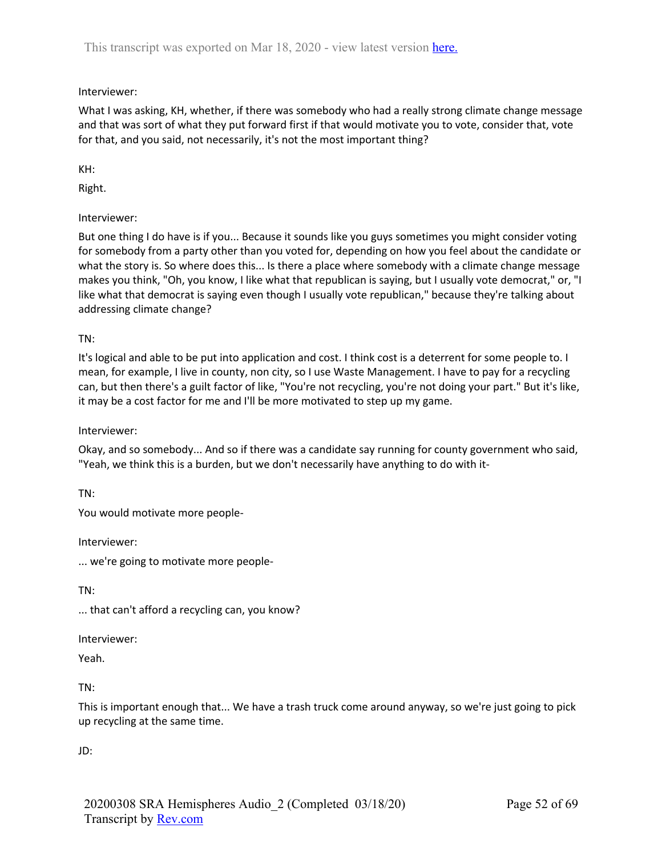# Interviewer:

What I was asking, KH, whether, if there was somebody who had a really strong climate change message and that was sort of what they put forward first if that would motivate you to vote, consider that, vote for that, and you said, not necessarily, it's not the most important thing?

KH:

Right.

# Interviewer:

But one thing I do have is if you... Because it sounds like you guys sometimes you might consider voting for somebody from a party other than you voted for, depending on how you feel about the candidate or what the story is. So where does this... Is there a place where somebody with a climate change message makes you think, "Oh, you know, I like what that republican is saying, but I usually vote democrat," or, "I like what that democrat is saying even though I usually vote republican," because they're talking about addressing climate change?

TN:

It's logical and able to be put into application and cost. I think cost is a deterrent for some people to. I mean, for example, I live in county, non city, so I use Waste Management. I have to pay for a recycling can, but then there's a guilt factor of like, "You're not recycling, you're not doing your part." But it's like, it may be a cost factor for me and I'll be more motivated to step up my game.

### Interviewer:

Okay, and so somebody... And so if there was a candidate say running for county government who said, "Yeah, we think this is a burden, but we don't necessarily have anything to do with it-

TN:

You would motivate more people-

Interviewer:

... we're going to motivate more people-

TN:

... that can't afford a recycling can, you know?

Interviewer:

Yeah.

TN:

This is important enough that... We have a trash truck come around anyway, so we're just going to pick up recycling at the same time.

JD: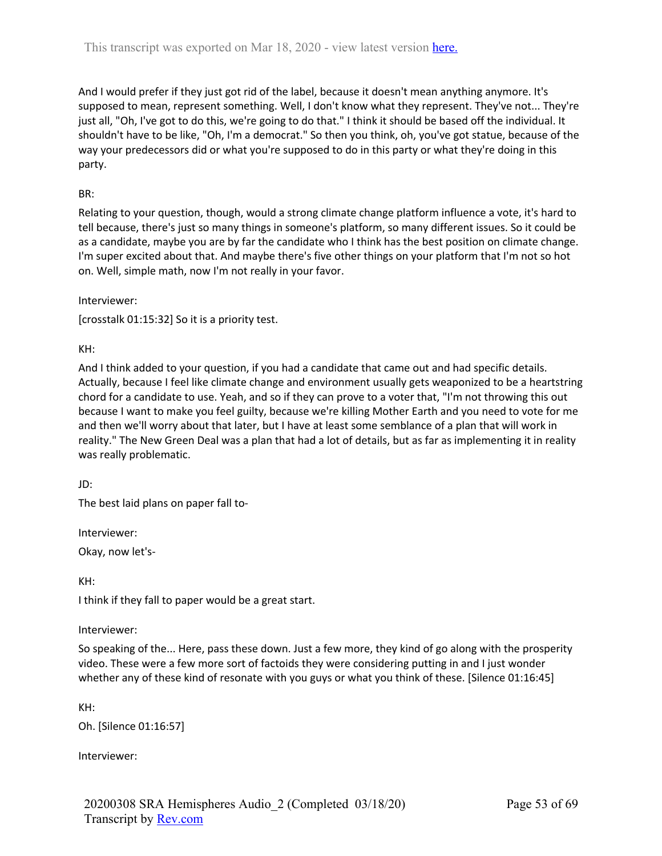And I would prefer if they just got rid of the label, because it doesn't mean anything anymore. It's supposed to mean, represent something. Well, I don't know what they represent. They've not... They're just all, "Oh, I've got to do this, we're going to do that." I think it should be based off the individual. It shouldn't have to be like, "Oh, I'm a democrat." So then you think, oh, you've got statue, because of the way your predecessors did or what you're supposed to do in this party or what they're doing in this party.

# BR:

Relating to your question, though, would a strong climate change platform influence a vote, it's hard to tell because, there's just so many things in someone's platform, so many different issues. So it could be as a candidate, maybe you are by far the candidate who I think has the best position on climate change. I'm super excited about that. And maybe there's five other things on your platform that I'm not so hot on. Well, simple math, now I'm not really in your favor.

Interviewer:

[crosstalk 01:15:32] So it is a priority test.

KH:

And I think added to your question, if you had a candidate that came out and had specific details. Actually, because I feel like climate change and environment usually gets weaponized to be a heartstring chord for a candidate to use. Yeah, and so if they can prove to a voter that, "I'm not throwing this out because I want to make you feel guilty, because we're killing Mother Earth and you need to vote for me and then we'll worry about that later, but I have at least some semblance of a plan that will work in reality." The New Green Deal was a plan that had a lot of details, but as far as implementing it in reality was really problematic.

JD:

The best laid plans on paper fall to-

Interviewer:

Okay, now let's-

KH:

I think if they fall to paper would be a great start.

#### Interviewer:

So speaking of the... Here, pass these down. Just a few more, they kind of go along with the prosperity video. These were a few more sort of factoids they were considering putting in and I just wonder whether any of these kind of resonate with you guys or what you think of these. [Silence 01:16:45]

KH:

Oh. [Silence 01:16:57]

Interviewer: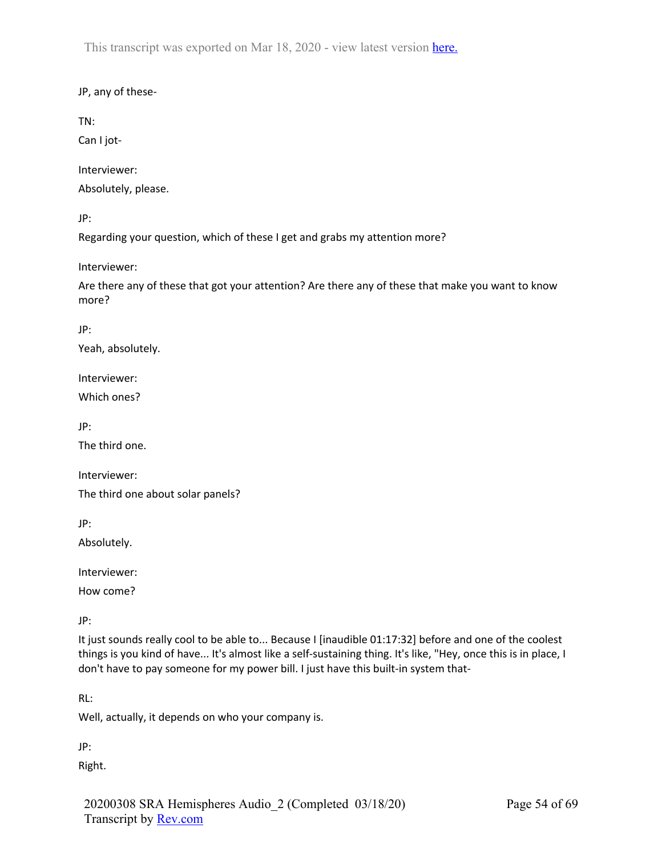# JP, any of these-

TN:

Can I jot-

Interviewer:

Absolutely, please.

JP:

Regarding your question, which of these I get and grabs my attention more?

Interviewer:

Are there any of these that got your attention? Are there any of these that make you want to know more?

JP:

Yeah, absolutely.

Interviewer:

Which ones?

JP:

The third one.

Interviewer: The third one about solar panels?

JP:

Absolutely.

Interviewer:

How come?

JP:

It just sounds really cool to be able to... Because I [inaudible 01:17:32] before and one of the coolest things is you kind of have... It's almost like a self-sustaining thing. It's like, "Hey, once this is in place, I don't have to pay someone for my power bill. I just have this built-in system that-

RL:

Well, actually, it depends on who your company is.

JP:

Right.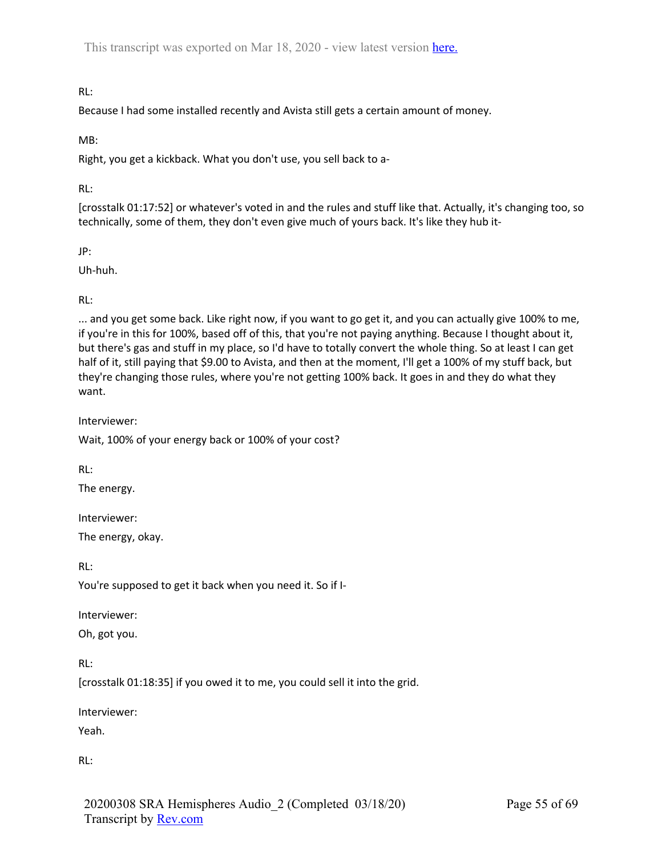# RL:

Because I had some installed recently and Avista still gets a certain amount of money.

## MB:

Right, you get a kickback. What you don't use, you sell back to a-

### RL:

[crosstalk 01:17:52] or whatever's voted in and the rules and stuff like that. Actually, it's changing too, so technically, some of them, they don't even give much of yours back. It's like they hub it-

JP:

Uh-huh.

## RL:

... and you get some back. Like right now, if you want to go get it, and you can actually give 100% to me, if you're in this for 100%, based off of this, that you're not paying anything. Because I thought about it, but there's gas and stuff in my place, so I'd have to totally convert the whole thing. So at least I can get half of it, still paying that \$9.00 to Avista, and then at the moment, I'll get a 100% of my stuff back, but they're changing those rules, where you're not getting 100% back. It goes in and they do what they want.

Interviewer:

Wait, 100% of your energy back or 100% of your cost?

RL:

The energy.

Interviewer:

The energy, okay.

RL:

You're supposed to get it back when you need it. So if I-

Interviewer:

Oh, got you.

RL:

[crosstalk 01:18:35] if you owed it to me, you could sell it into the grid.

Interviewer:

Yeah.

RL: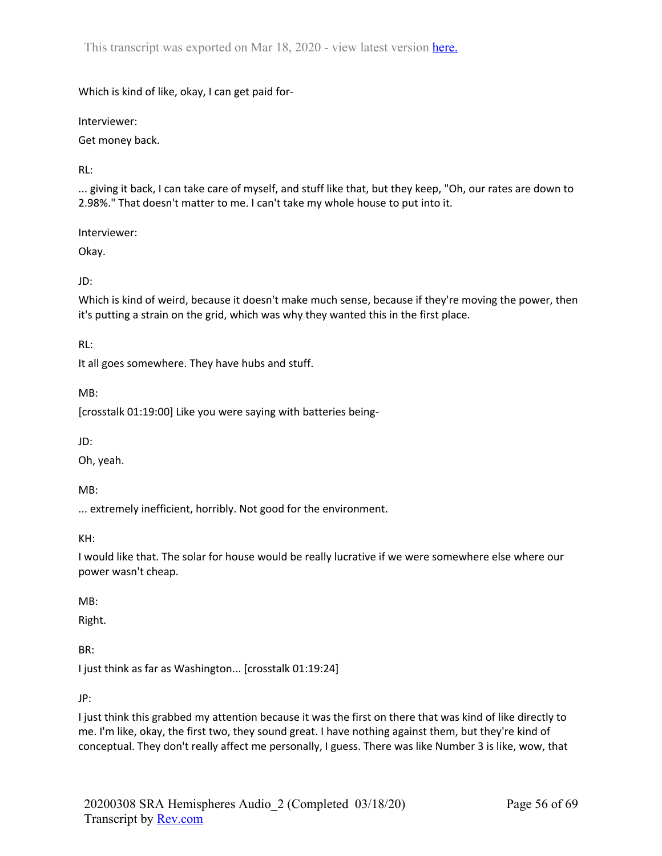Which is kind of like, okay, I can get paid for-

Interviewer:

Get money back.

RL:

... giving it back, I can take care of myself, and stuff like that, but they keep, "Oh, our rates are down to 2.98%." That doesn't matter to me. I can't take my whole house to put into it.

Interviewer:

Okay.

JD:

Which is kind of weird, because it doesn't make much sense, because if they're moving the power, then it's putting a strain on the grid, which was why they wanted this in the first place.

RL:

It all goes somewhere. They have hubs and stuff.

MB:

[crosstalk 01:19:00] Like you were saying with batteries being-

JD:

Oh, yeah.

MB:

... extremely inefficient, horribly. Not good for the environment.

KH:

I would like that. The solar for house would be really lucrative if we were somewhere else where our power wasn't cheap.

## MB:

Right.

BR:

I just think as far as Washington... [crosstalk 01:19:24]

JP:

I just think this grabbed my attention because it was the first on there that was kind of like directly to me. I'm like, okay, the first two, they sound great. I have nothing against them, but they're kind of conceptual. They don't really affect me personally, I guess. There was like Number 3 is like, wow, that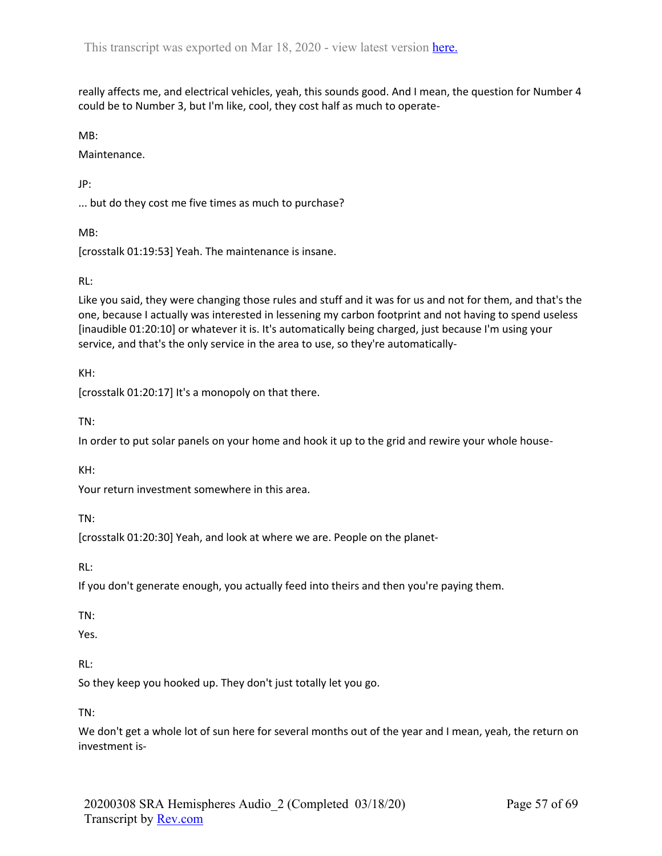really affects me, and electrical vehicles, yeah, this sounds good. And I mean, the question for Number 4 could be to Number 3, but I'm like, cool, they cost half as much to operate-

MB:

Maintenance.

JP:

... but do they cost me five times as much to purchase?

MB:

[crosstalk 01:19:53] Yeah. The maintenance is insane.

## RL:

Like you said, they were changing those rules and stuff and it was for us and not for them, and that's the one, because I actually was interested in lessening my carbon footprint and not having to spend useless [inaudible 01:20:10] or whatever it is. It's automatically being charged, just because I'm using your service, and that's the only service in the area to use, so they're automatically-

KH:

[crosstalk 01:20:17] It's a monopoly on that there.

TN:

In order to put solar panels on your home and hook it up to the grid and rewire your whole house-

KH:

Your return investment somewhere in this area.

TN:

[crosstalk 01:20:30] Yeah, and look at where we are. People on the planet-

RL:

If you don't generate enough, you actually feed into theirs and then you're paying them.

TN:

Yes.

RL:

So they keep you hooked up. They don't just totally let you go.

TN:

We don't get a whole lot of sun here for several months out of the year and I mean, yeah, the return on investment is-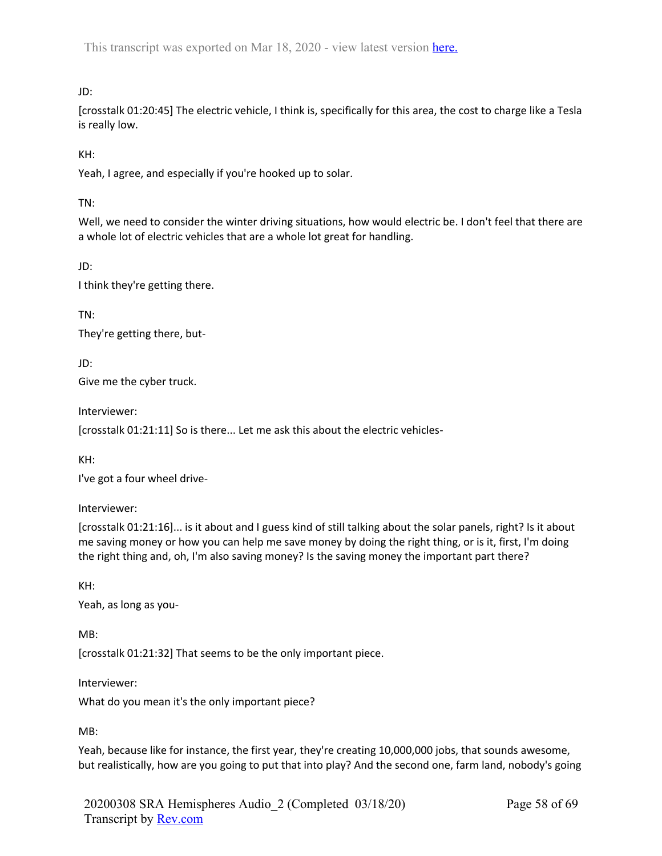# JD:

[crosstalk 01:20:45] The electric vehicle, I think is, specifically for this area, the cost to charge like a Tesla is really low.

KH:

Yeah, I agree, and especially if you're hooked up to solar.

TN:

Well, we need to consider the winter driving situations, how would electric be. I don't feel that there are a whole lot of electric vehicles that are a whole lot great for handling.

JD:

I think they're getting there.

TN:

They're getting there, but-

JD: Give me the cyber truck.

Interviewer:

[crosstalk 01:21:11] So is there... Let me ask this about the electric vehicles-

KH:

I've got a four wheel drive-

Interviewer:

[crosstalk 01:21:16]... is it about and I guess kind of still talking about the solar panels, right? Is it about me saving money or how you can help me save money by doing the right thing, or is it, first, I'm doing the right thing and, oh, I'm also saving money? Is the saving money the important part there?

KH:

Yeah, as long as you-

MB:

[crosstalk 01:21:32] That seems to be the only important piece.

Interviewer:

What do you mean it's the only important piece?

MB:

Yeah, because like for instance, the first year, they're creating 10,000,000 jobs, that sounds awesome, but realistically, how are you going to put that into play? And the second one, farm land, nobody's going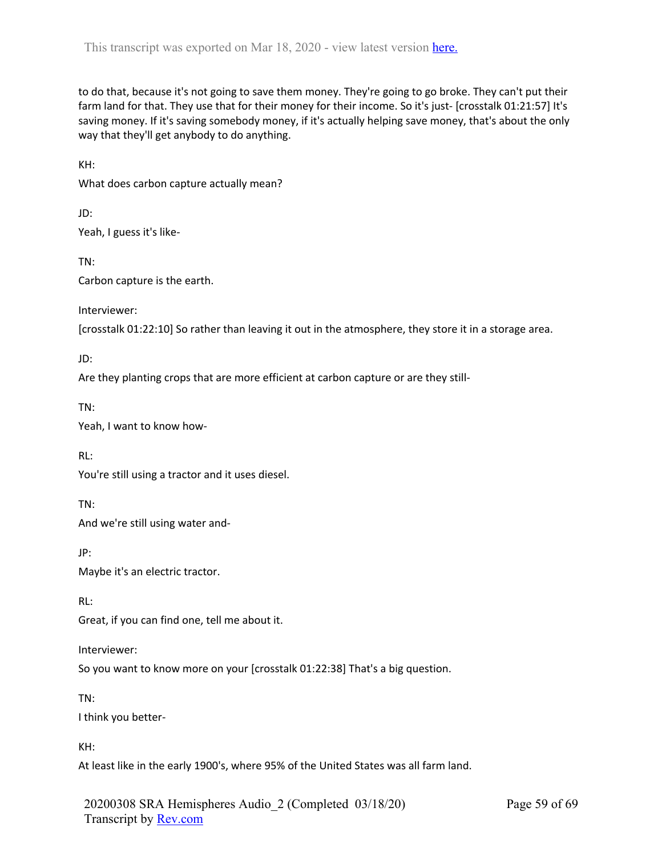to do that, because it's not going to save them money. They're going to go broke. They can't put their farm land for that. They use that for their money for their income. So it's just- [crosstalk 01:21:57] It's saving money. If it's saving somebody money, if it's actually helping save money, that's about the only way that they'll get anybody to do anything.

KH: What does carbon capture actually mean?

JD: Yeah, I guess it's like-

TN: Carbon capture is the earth.

Interviewer:

[crosstalk 01:22:10] So rather than leaving it out in the atmosphere, they store it in a storage area.

JD:

Are they planting crops that are more efficient at carbon capture or are they still-

TN:

Yeah, I want to know how-

RL:

You're still using a tractor and it uses diesel.

TN:

And we're still using water and-

JP:

Maybe it's an electric tractor.

RL:

Great, if you can find one, tell me about it.

Interviewer:

So you want to know more on your [crosstalk 01:22:38] That's a big question.

TN:

I think you better-

KH:

At least like in the early 1900's, where 95% of the United States was all farm land.

20200308 SRA Hemispheres Audio\_2 (Completed 03/18/20) Transcript by Rev.com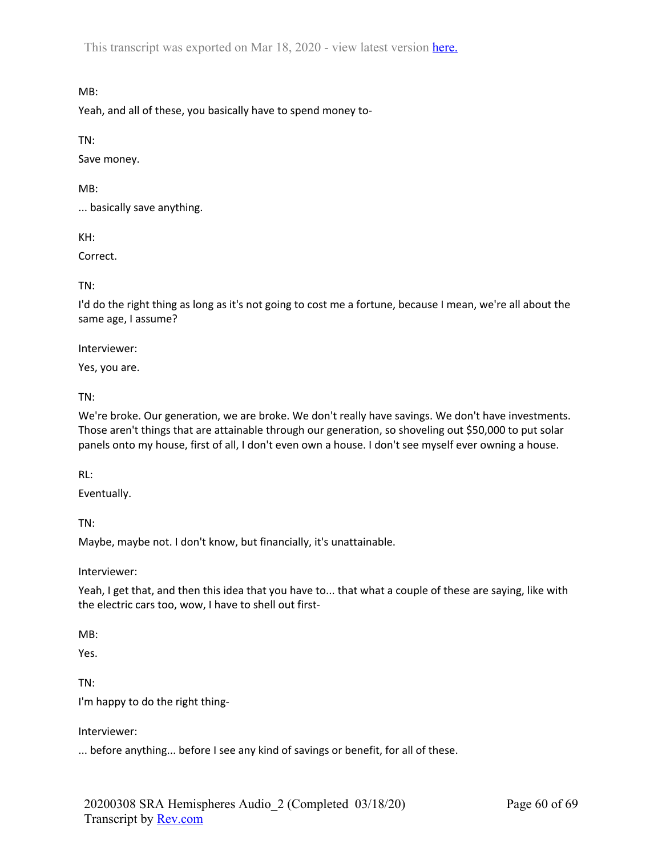MB:

Yeah, and all of these, you basically have to spend money to-

TN:

Save money.

MB:

... basically save anything.

KH:

Correct.

TN:

I'd do the right thing as long as it's not going to cost me a fortune, because I mean, we're all about the same age, I assume?

Interviewer:

Yes, you are.

TN:

We're broke. Our generation, we are broke. We don't really have savings. We don't have investments. Those aren't things that are attainable through our generation, so shoveling out \$50,000 to put solar panels onto my house, first of all, I don't even own a house. I don't see myself ever owning a house.

RL:

Eventually.

TN:

Maybe, maybe not. I don't know, but financially, it's unattainable.

Interviewer:

Yeah, I get that, and then this idea that you have to... that what a couple of these are saying, like with the electric cars too, wow, I have to shell out first-

MB:

Yes.

TN:

I'm happy to do the right thing-

Interviewer:

... before anything... before I see any kind of savings or benefit, for all of these.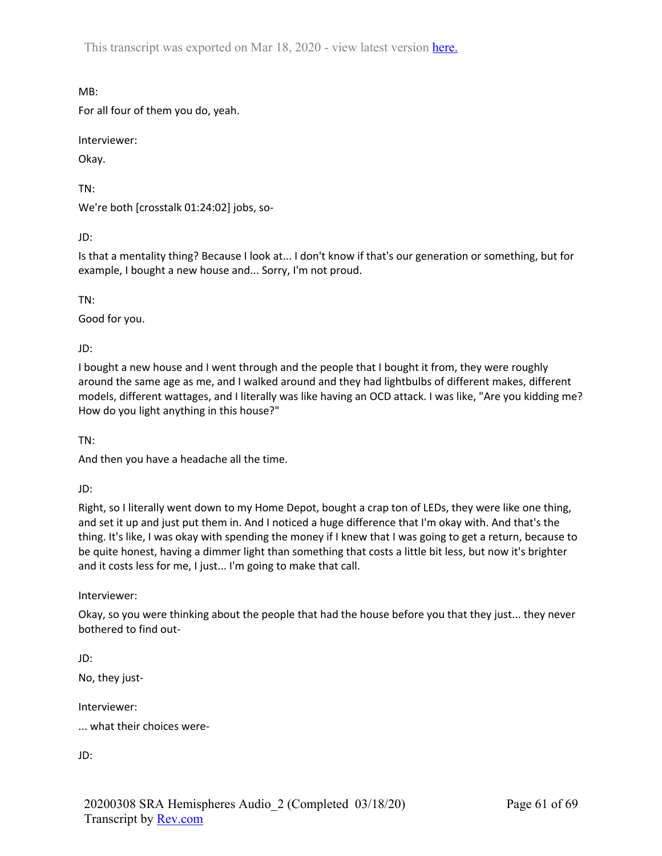MB:

For all four of them you do, yeah.

Interviewer:

Okay.

TN:

We're both [crosstalk 01:24:02] jobs, so-

JD:

Is that a mentality thing? Because I look at... I don't know if that's our generation or something, but for example, I bought a new house and... Sorry, I'm not proud.

TN:

Good for you.

JD:

I bought a new house and I went through and the people that I bought it from, they were roughly around the same age as me, and I walked around and they had lightbulbs of different makes, different models, different wattages, and I literally was like having an OCD attack. I was like, "Are you kidding me? How do you light anything in this house?"

TN:

And then you have a headache all the time.

JD:

Right, so I literally went down to my Home Depot, bought a crap ton of LEDs, they were like one thing, and set it up and just put them in. And I noticed a huge difference that I'm okay with. And that's the thing. It's like, I was okay with spending the money if I knew that I was going to get a return, because to be quite honest, having a dimmer light than something that costs a little bit less, but now it's brighter and it costs less for me, I just... I'm going to make that call.

Interviewer:

Okay, so you were thinking about the people that had the house before you that they just... they never bothered to find out-

JD:

No, they just-

Interviewer:

... what their choices were-

JD: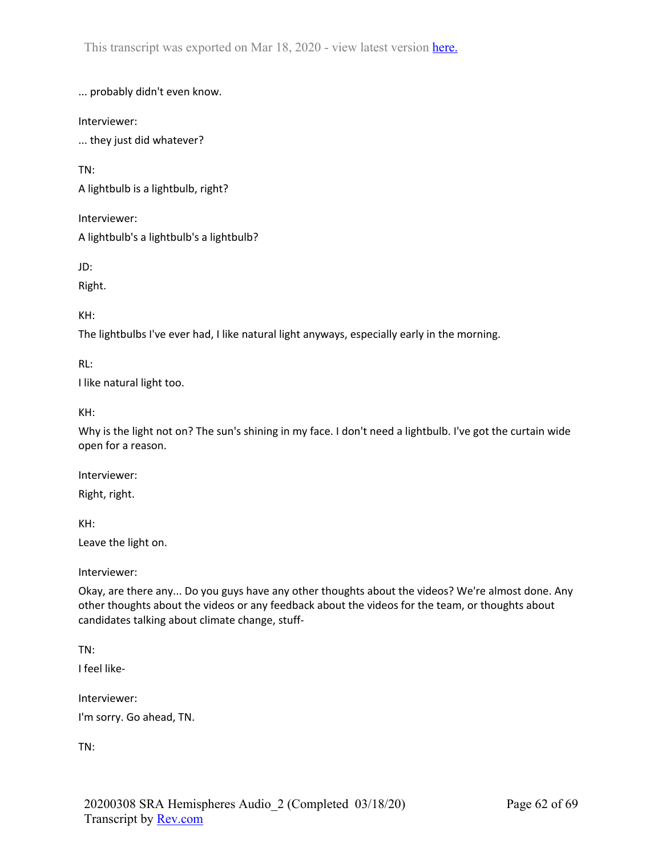... probably didn't even know.

Interviewer:

... they just did whatever?

TN:

A lightbulb is a lightbulb, right?

Interviewer:

A lightbulb's a lightbulb's a lightbulb?

JD:

Right.

KH:

The lightbulbs I've ever had, I like natural light anyways, especially early in the morning.

RL:

I like natural light too.

KH:

Why is the light not on? The sun's shining in my face. I don't need a lightbulb. I've got the curtain wide open for a reason.

Interviewer: Right, right.

KH: Leave the light on.

Interviewer:

Okay, are there any... Do you guys have any other thoughts about the videos? We're almost done. Any other thoughts about the videos or any feedback about the videos for the team, or thoughts about candidates talking about climate change, stuff-

TN:

I feel like-

Interviewer: I'm sorry. Go ahead, TN.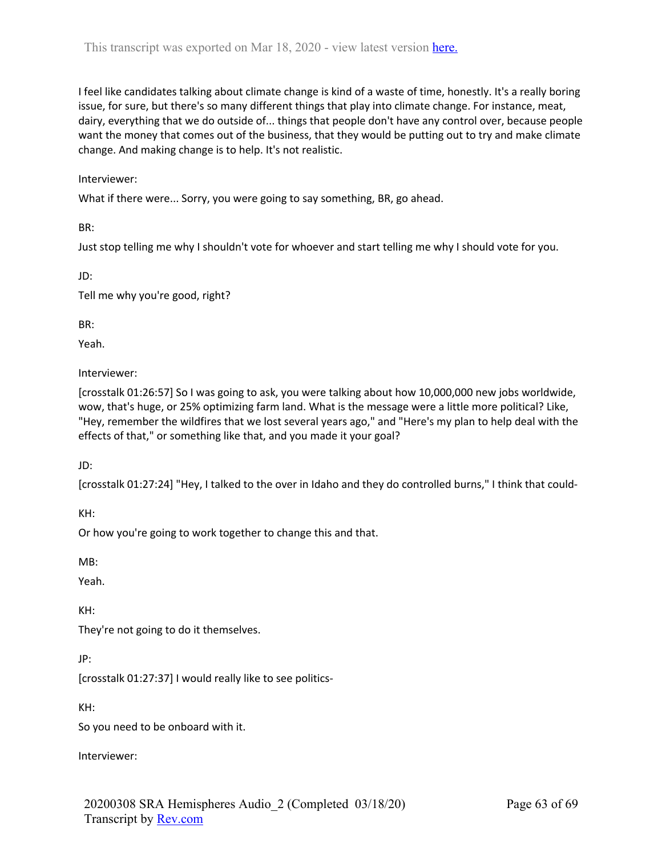I feel like candidates talking about climate change is kind of a waste of time, honestly. It's a really boring issue, for sure, but there's so many different things that play into climate change. For instance, meat, dairy, everything that we do outside of... things that people don't have any control over, because people want the money that comes out of the business, that they would be putting out to try and make climate change. And making change is to help. It's not realistic.

### Interviewer:

What if there were... Sorry, you were going to say something, BR, go ahead.

BR:

Just stop telling me why I shouldn't vote for whoever and start telling me why I should vote for you.

JD:

Tell me why you're good, right?

BR:

Yeah.

Interviewer:

[crosstalk 01:26:57] So I was going to ask, you were talking about how 10,000,000 new jobs worldwide, wow, that's huge, or 25% optimizing farm land. What is the message were a little more political? Like, "Hey, remember the wildfires that we lost several years ago," and "Here's my plan to help deal with the effects of that," or something like that, and you made it your goal?

JD:

[crosstalk 01:27:24] "Hey, I talked to the over in Idaho and they do controlled burns," I think that could-

KH:

Or how you're going to work together to change this and that.

MB:

Yeah.

KH:

They're not going to do it themselves.

JP:

[crosstalk 01:27:37] I would really like to see politics-

KH:

So you need to be onboard with it.

Interviewer: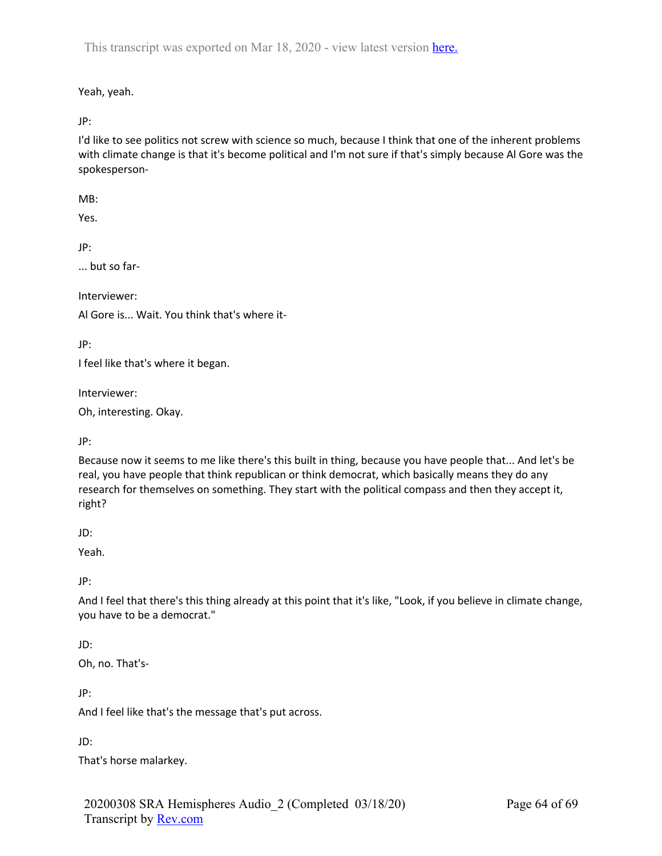Yeah, yeah.

JP:

I'd like to see politics not screw with science so much, because I think that one of the inherent problems with climate change is that it's become political and I'm not sure if that's simply because Al Gore was the spokesperson-

MB:

Yes.

JP:

... but so far-

Interviewer:

Al Gore is... Wait. You think that's where it-

JP:

I feel like that's where it began.

Interviewer:

Oh, interesting. Okay.

JP:

Because now it seems to me like there's this built in thing, because you have people that... And let's be real, you have people that think republican or think democrat, which basically means they do any research for themselves on something. They start with the political compass and then they accept it, right?

JD:

Yeah.

JP:

And I feel that there's this thing already at this point that it's like, "Look, if you believe in climate change, you have to be a democrat."

# JD:

Oh, no. That's-

JP:

And I feel like that's the message that's put across.

JD:

That's horse malarkey.

20200308 SRA Hemispheres Audio\_2 (Completed 03/18/20) Transcript by Rev.com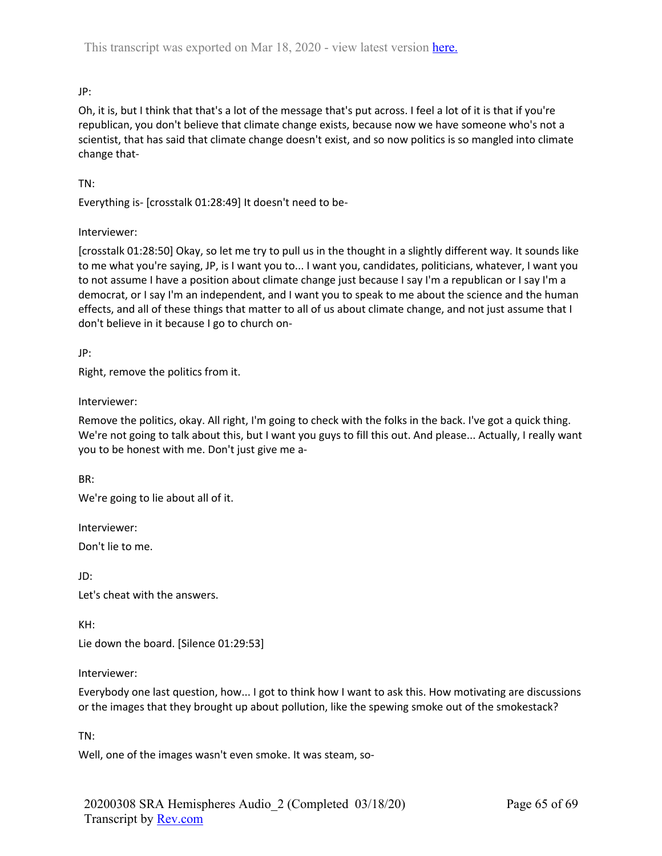# JP:

Oh, it is, but I think that that's a lot of the message that's put across. I feel a lot of it is that if you're republican, you don't believe that climate change exists, because now we have someone who's not a scientist, that has said that climate change doesn't exist, and so now politics is so mangled into climate change that-

## TN:

Everything is- [crosstalk 01:28:49] It doesn't need to be-

## Interviewer:

[crosstalk 01:28:50] Okay, so let me try to pull us in the thought in a slightly different way. It sounds like to me what you're saying, JP, is I want you to... I want you, candidates, politicians, whatever, I want you to not assume I have a position about climate change just because I say I'm a republican or I say I'm a democrat, or I say I'm an independent, and I want you to speak to me about the science and the human effects, and all of these things that matter to all of us about climate change, and not just assume that I don't believe in it because I go to church on-

JP:

Right, remove the politics from it.

Interviewer:

Remove the politics, okay. All right, I'm going to check with the folks in the back. I've got a quick thing. We're not going to talk about this, but I want you guys to fill this out. And please... Actually, I really want you to be honest with me. Don't just give me a-

BR:

We're going to lie about all of it.

Interviewer:

Don't lie to me.

JD: Let's cheat with the answers.

KH:

Lie down the board. [Silence 01:29:53]

#### Interviewer:

Everybody one last question, how... I got to think how I want to ask this. How motivating are discussions or the images that they brought up about pollution, like the spewing smoke out of the smokestack?

TN:

Well, one of the images wasn't even smoke. It was steam, so-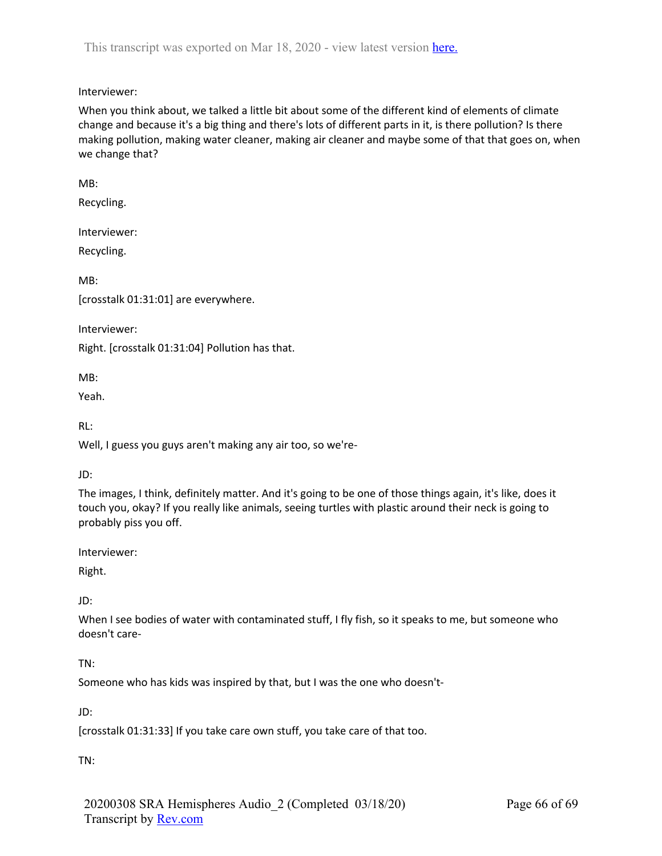# Interviewer:

When you think about, we talked a little bit about some of the different kind of elements of climate change and because it's a big thing and there's lots of different parts in it, is there pollution? Is there making pollution, making water cleaner, making air cleaner and maybe some of that that goes on, when we change that?

MB:

Recycling.

Interviewer:

Recycling.

MB:

[crosstalk 01:31:01] are everywhere.

Interviewer:

Right. [crosstalk 01:31:04] Pollution has that.

MB:

Yeah.

RL:

Well, I guess you guys aren't making any air too, so we're-

#### JD:

The images, I think, definitely matter. And it's going to be one of those things again, it's like, does it touch you, okay? If you really like animals, seeing turtles with plastic around their neck is going to probably piss you off.

Interviewer:

Right.

## JD:

When I see bodies of water with contaminated stuff, I fly fish, so it speaks to me, but someone who doesn't care-

## TN:

Someone who has kids was inspired by that, but I was the one who doesn't-

JD:

[crosstalk 01:31:33] If you take care own stuff, you take care of that too.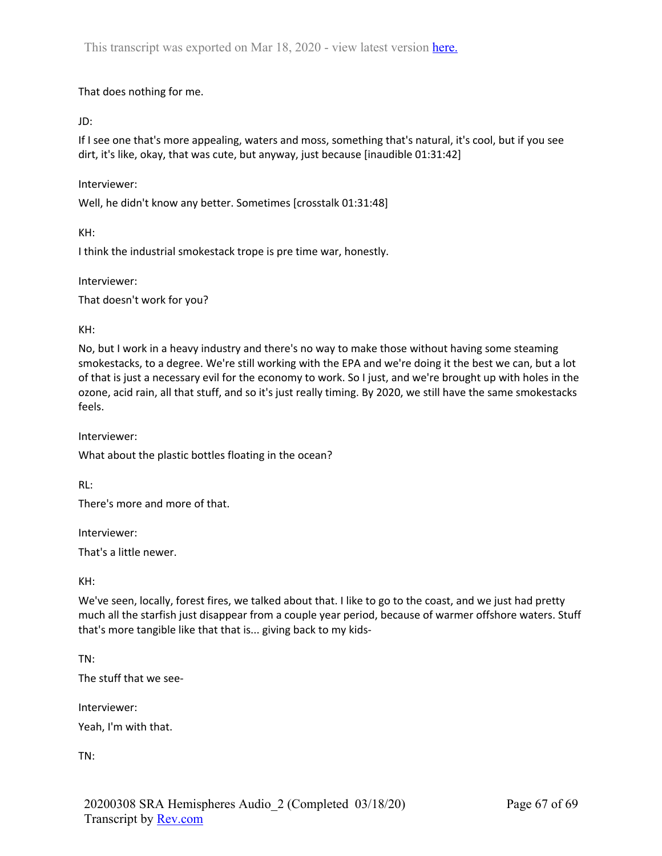That does nothing for me.

JD:

If I see one that's more appealing, waters and moss, something that's natural, it's cool, but if you see dirt, it's like, okay, that was cute, but anyway, just because [inaudible 01:31:42]

Interviewer:

Well, he didn't know any better. Sometimes [crosstalk 01:31:48]

KH:

I think the industrial smokestack trope is pre time war, honestly.

Interviewer:

That doesn't work for you?

KH:

No, but I work in a heavy industry and there's no way to make those without having some steaming smokestacks, to a degree. We're still working with the EPA and we're doing it the best we can, but a lot of that is just a necessary evil for the economy to work. So I just, and we're brought up with holes in the ozone, acid rain, all that stuff, and so it's just really timing. By 2020, we still have the same smokestacks feels.

Interviewer:

What about the plastic bottles floating in the ocean?

RL:

There's more and more of that.

Interviewer:

That's a little newer.

KH:

We've seen, locally, forest fires, we talked about that. I like to go to the coast, and we just had pretty much all the starfish just disappear from a couple year period, because of warmer offshore waters. Stuff that's more tangible like that that is... giving back to my kids-

TN:

The stuff that we see-

Interviewer: Yeah, I'm with that.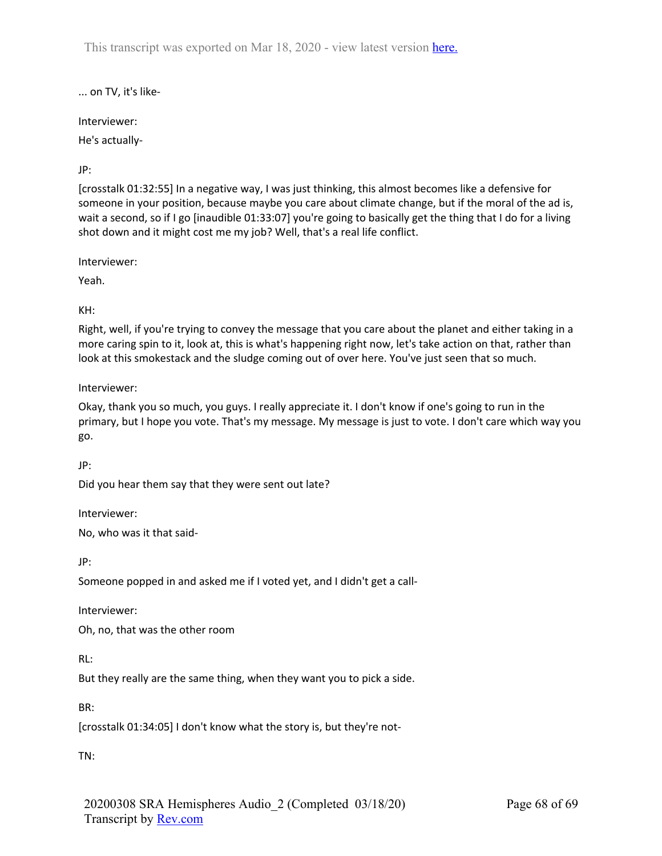... on TV, it's like-

Interviewer:

He's actually-

# JP:

[crosstalk 01:32:55] In a negative way, I was just thinking, this almost becomes like a defensive for someone in your position, because maybe you care about climate change, but if the moral of the ad is, wait a second, so if I go [inaudible 01:33:07] you're going to basically get the thing that I do for a living shot down and it might cost me my job? Well, that's a real life conflict.

Interviewer:

Yeah.

KH:

Right, well, if you're trying to convey the message that you care about the planet and either taking in a more caring spin to it, look at, this is what's happening right now, let's take action on that, rather than look at this smokestack and the sludge coming out of over here. You've just seen that so much.

Interviewer:

Okay, thank you so much, you guys. I really appreciate it. I don't know if one's going to run in the primary, but I hope you vote. That's my message. My message is just to vote. I don't care which way you go.

JP:

Did you hear them say that they were sent out late?

Interviewer:

No, who was it that said-

JP:

Someone popped in and asked me if I voted yet, and I didn't get a call-

Interviewer:

Oh, no, that was the other room

RL:

But they really are the same thing, when they want you to pick a side.

BR:

[crosstalk 01:34:05] I don't know what the story is, but they're not-